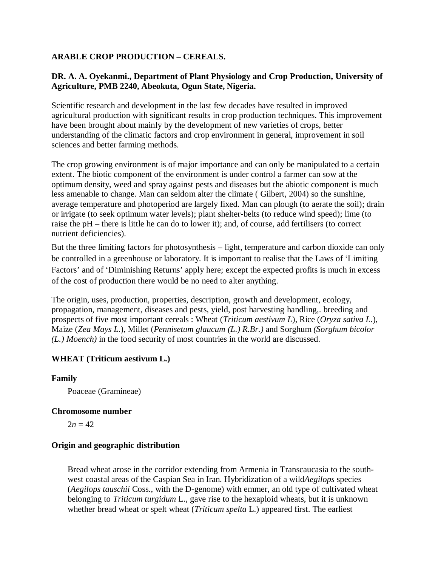# **ARABLE CROP PRODUCTION – CEREALS.**

# **DR. A. A. Oyekanmi., Department of Plant Physiology and Crop Production, University of Agriculture, PMB 2240, Abeokuta, Ogun State, Nigeria.**

Scientific research and development in the last few decades have resulted in improved agricultural production with significant results in crop production techniques. This improvement have been brought about mainly by the development of new varieties of crops, better understanding of the climatic factors and crop environment in general, improvement in soil sciences and better farming methods.

The crop growing environment is of major importance and can only be manipulated to a certain extent. The biotic component of the environment is under control a farmer can sow at the optimum density, weed and spray against pests and diseases but the abiotic component is much less amenable to change. Man can seldom alter the climate ( Gilbert, 2004) so the sunshine, average temperature and photoperiod are largely fixed. Man can plough (to aerate the soil); drain or irrigate (to seek optimum water levels); plant shelter-belts (to reduce wind speed); lime (to raise the pH – there is little he can do to lower it); and, of course, add fertilisers (to correct nutrient deficiencies).

But the three limiting factors for photosynthesis – light, temperature and carbon dioxide can only be controlled in a greenhouse or laboratory. It is important to realise that the Laws of 'Limiting Factors' and of 'Diminishing Returns' apply here; except the expected profits is much in excess of the cost of production there would be no need to alter anything.

The origin, uses, production, properties, description, growth and development, ecology, propagation, management, diseases and pests, yield, post harvesting handling,. breeding and prospects of five most important cereals : Wheat (*Triticum aestivum L*), Rice (*Oryza sativa L.*), Maize (*Zea Mays L.*), Millet (*Pennisetum glaucum (L.) R.Br.)* and Sorghum *(Sorghum bicolor (L.) Moench)* in the food security of most countries in the world are discussed.

# **WHEAT (Triticum aestivum L.)**

# **Family**

Poaceae (Gramineae)

# **Chromosome number**

 $2n = 42$ 

# **Origin and geographic distribution**

Bread wheat arose in the corridor extending from Armenia in Transcaucasia to the southwest coastal areas of the Caspian Sea in Iran. Hybridization of a wild*Aegilops* species (*Aegilops tauschii* Coss., with the D-genome) with emmer, an old type of cultivated wheat belonging to *Triticum turgidum* L., gave rise to the hexaploid wheats, but it is unknown whether bread wheat or spelt wheat (*Triticum spelta* L.) appeared first. The earliest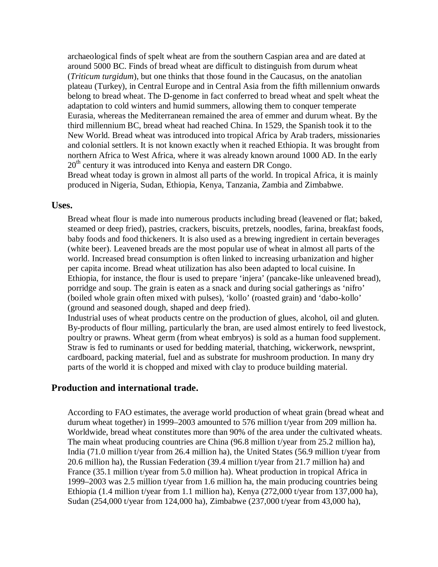archaeological finds of spelt wheat are from the southern Caspian area and are dated at around 5000 BC. Finds of bread wheat are difficult to distinguish from durum wheat (*Triticum turgidum*), but one thinks that those found in the Caucasus, on the anatolian plateau (Turkey), in Central Europe and in Central Asia from the fifth millennium onwards belong to bread wheat. The D-genome in fact conferred to bread wheat and spelt wheat the adaptation to cold winters and humid summers, allowing them to conquer temperate Eurasia, whereas the Mediterranean remained the area of emmer and durum wheat. By the third millennium BC, bread wheat had reached China. In 1529, the Spanish took it to the New World. Bread wheat was introduced into tropical Africa by Arab traders, missionaries and colonial settlers. It is not known exactly when it reached Ethiopia. It was brought from northern Africa to West Africa, where it was already known around 1000 AD. In the early 20<sup>th</sup> century it was introduced into Kenya and eastern DR Congo.

Bread wheat today is grown in almost all parts of the world. In tropical Africa, it is mainly produced in Nigeria, Sudan, Ethiopia, Kenya, Tanzania, Zambia and Zimbabwe.

#### **Uses.**

Bread wheat flour is made into numerous products including bread (leavened or flat; baked, steamed or deep fried), pastries, crackers, biscuits, pretzels, noodles, farina, breakfast foods, baby foods and food thickeners. It is also used as a brewing ingredient in certain beverages (white beer). Leavened breads are the most popular use of wheat in almost all parts of the world. Increased bread consumption is often linked to increasing urbanization and higher per capita income. Bread wheat utilization has also been adapted to local cuisine. In Ethiopia, for instance, the flour is used to prepare 'injera' (pancake-like unleavened bread), porridge and soup. The grain is eaten as a snack and during social gatherings as 'nifro' (boiled whole grain often mixed with pulses), 'kollo' (roasted grain) and 'dabo-kollo' (ground and seasoned dough, shaped and deep fried).

Industrial uses of wheat products centre on the production of glues, alcohol, oil and gluten. By-products of flour milling, particularly the bran, are used almost entirely to feed livestock, poultry or prawns. Wheat germ (from wheat embryos) is sold as a human food supplement. Straw is fed to ruminants or used for bedding material, thatching, wickerwork, newsprint, cardboard, packing material, fuel and as substrate for mushroom production. In many dry parts of the world it is chopped and mixed with clay to produce building material.

# **Production and international trade.**

According to FAO estimates, the average world production of wheat grain (bread wheat and durum wheat together) in 1999–2003 amounted to 576 million t/year from 209 million ha. Worldwide, bread wheat constitutes more than 90% of the area under the cultivated wheats. The main wheat producing countries are China (96.8 million t/year from 25.2 million ha), India (71.0 million t/year from 26.4 million ha), the United States (56.9 million t/year from 20.6 million ha), the Russian Federation (39.4 million t/year from 21.7 million ha) and France (35.1 million t/year from 5.0 million ha). Wheat production in tropical Africa in 1999–2003 was 2.5 million t/year from 1.6 million ha, the main producing countries being Ethiopia (1.4 million t/year from 1.1 million ha), Kenya (272,000 t/year from 137,000 ha), Sudan (254,000 t/year from 124,000 ha), Zimbabwe (237,000 t/year from 43,000 ha),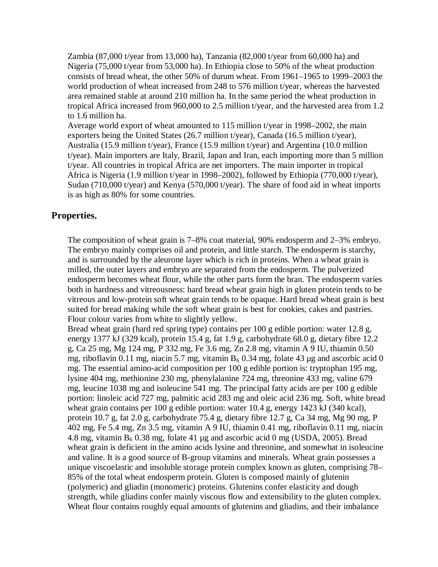Zambia (87,000 t/year from 13,000 ha), Tanzania (82,000 t/year from 60,000 ha) and Nigeria (75,000 t/year from 53,000 ha). In Ethiopia close to 50% of the wheat production consists of bread wheat, the other 50% of durum wheat. From 1961–1965 to 1999–2003 the world production of wheat increased from 248 to 576 million t/year, whereas the harvested area remained stable at around 210 million ha. In the same period the wheat production in tropical Africa increased from 960,000 to 2.5 million t/year, and the harvested area from 1.2 to 1.6 million ha.

Average world export of wheat amounted to 115 million t/year in 1998–2002, the main exporters being the United States (26.7 million t/year), Canada (16.5 million t/year), Australia (15.9 million t/year), France (15.9 million t/year) and Argentina (10.0 million t/year). Main importers are Italy, Brazil, Japan and Iran, each importing more than 5 million t/year. All countries in tropical Africa are net importers. The main importer in tropical Africa is Nigeria (1.9 million t/year in 1998–2002), followed by Ethiopia (770,000 t/year), Sudan (710,000 t/year) and Kenya (570,000 t/year). The share of food aid in wheat imports is as high as 80% for some countries.

# **Properties.**

The composition of wheat grain is 7–8% coat material, 90% endosperm and 2–3% embryo. The embryo mainly comprises oil and protein, and little starch. The endosperm is starchy, and is surrounded by the aleurone layer which is rich in proteins. When a wheat grain is milled, the outer layers and embryo are separated from the endosperm. The pulverized endosperm becomes wheat flour, while the other parts form the bran. The endosperm varies both in hardness and vitreousness: hard bread wheat grain high in gluten protein tends to be vitreous and low-protein soft wheat grain tends to be opaque. Hard bread wheat grain is best suited for bread making while the soft wheat grain is best for cookies, cakes and pastries. Flour colour varies from white to slightly yellow.

Bread wheat grain (hard red spring type) contains per 100 g edible portion: water 12.8 g, energy 1377 kJ (329 kcal), protein 15.4 g, fat 1.9 g, carbohydrate 68.0 g, dietary fibre 12.2 g, Ca 25 mg, Mg 124 mg, P 332 mg, Fe 3.6 mg, Zn 2.8 mg, vitamin A 9 IU, thiamin 0.50 mg, riboflavin 0.11 mg, niacin 5.7 mg, vitamin  $B_6$  0.34 mg, folate 43 µg and ascorbic acid 0 mg. The essential amino-acid composition per 100 g edible portion is: tryptophan 195 mg, lysine 404 mg, methionine 230 mg, phenylalanine 724 mg, threonine 433 mg, valine 679 mg, leucine 1038 mg and isoleucine 541 mg. The principal fatty acids are per 100 g edible portion: linoleic acid 727 mg, palmitic acid 283 mg and oleic acid 236 mg. Soft, white bread wheat grain contains per 100 g edible portion: water 10.4 g, energy 1423 kJ (340 kcal), protein 10.7 g, fat 2.0 g, carbohydrate 75.4 g, dietary fibre 12.7 g, Ca 34 mg, Mg 90 mg, P 402 mg, Fe 5.4 mg, Zn 3.5 mg, vitamin A 9 IU, thiamin 0.41 mg, riboflavin 0.11 mg, niacin 4.8 mg, vitamin  $B_6$  0.38 mg, folate 41 µg and ascorbic acid 0 mg (USDA, 2005). Bread wheat grain is deficient in the amino acids lysine and threonine, and somewhat in isoleucine and valine. It is a good source of B-group vitamins and minerals. Wheat grain possesses a unique viscoelastic and insoluble storage protein complex known as gluten, comprising 78– 85% of the total wheat endosperm protein. Gluten is composed mainly of glutenin (polymeric) and gliadin (monomeric) proteins. Glutenins confer elasticity and dough strength, while gliadins confer mainly viscous flow and extensibility to the gluten complex. Wheat flour contains roughly equal amounts of glutenins and gliadins, and their imbalance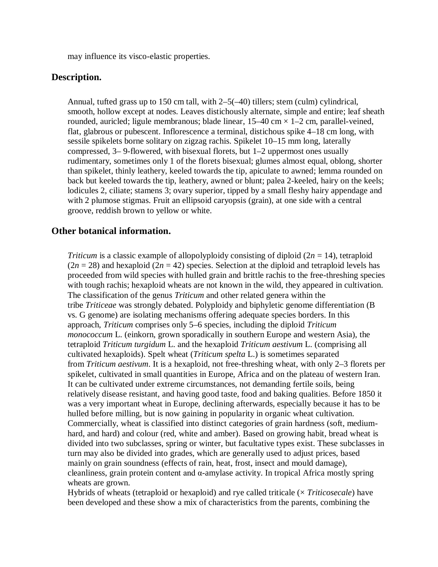may influence its visco-elastic properties.

### **Description.**

Annual, tufted grass up to 150 cm tall, with  $2-5(-40)$  tillers; stem (culm) cylindrical, smooth, hollow except at nodes. Leaves distichously alternate, simple and entire; leaf sheath rounded, auricled; ligule membranous; blade linear,  $15-40$  cm  $\times$  1-2 cm, parallel-veined, flat, glabrous or pubescent. Inflorescence a terminal, distichous spike 4–18 cm long, with sessile spikelets borne solitary on zigzag rachis. Spikelet 10–15 mm long, laterally compressed, 3– 9-flowered, with bisexual florets, but 1–2 uppermost ones usually rudimentary, sometimes only 1 of the florets bisexual; glumes almost equal, oblong, shorter than spikelet, thinly leathery, keeled towards the tip, apiculate to awned; lemma rounded on back but keeled towards the tip, leathery, awned or blunt; palea 2-keeled, hairy on the keels; lodicules 2, ciliate; stamens 3; ovary superior, tipped by a small fleshy hairy appendage and with 2 plumose stigmas. Fruit an ellipsoid caryopsis (grain), at one side with a central groove, reddish brown to yellow or white.

### **Other botanical information.**

*Triticum* is a classic example of allopolyploidy consisting of diploid  $(2n = 14)$ , tetraploid  $(2n = 28)$  and hexaploid  $(2n = 42)$  species. Selection at the diploid and tetraploid levels has proceeded from wild species with hulled grain and brittle rachis to the free-threshing species with tough rachis; hexaploid wheats are not known in the wild, they appeared in cultivation. The classification of the genus *Triticum* and other related genera within the tribe *Triticeae* was strongly debated. Polyploidy and biphyletic genome differentiation (B vs. G genome) are isolating mechanisms offering adequate species borders. In this approach, *Triticum* comprises only 5–6 species, including the diploid *Triticum monococcum* L. (einkorn, grown sporadically in southern Europe and western Asia), the tetraploid *Triticum turgidum* L. and the hexaploid *Triticum aestivum* L. (comprising all cultivated hexaploids). Spelt wheat (*Triticum spelta* L.) is sometimes separated from *Triticum aestivum*. It is a hexaploid, not free-threshing wheat, with only 2–3 florets per spikelet, cultivated in small quantities in Europe, Africa and on the plateau of western Iran. It can be cultivated under extreme circumstances, not demanding fertile soils, being relatively disease resistant, and having good taste, food and baking qualities. Before 1850 it was a very important wheat in Europe, declining afterwards, especially because it has to be hulled before milling, but is now gaining in popularity in organic wheat cultivation. Commercially, wheat is classified into distinct categories of grain hardness (soft, mediumhard, and hard) and colour (red, white and amber). Based on growing habit, bread wheat is divided into two subclasses, spring or winter, but facultative types exist. These subclasses in turn may also be divided into grades, which are generally used to adjust prices, based mainly on grain soundness (effects of rain, heat, frost, insect and mould damage), cleanliness, grain protein content and  $\alpha$ -amylase activity. In tropical Africa mostly spring wheats are grown.

Hybrids of wheats (tetraploid or hexaploid) and rye called triticale (× *Triticosecale*) have been developed and these show a mix of characteristics from the parents, combining the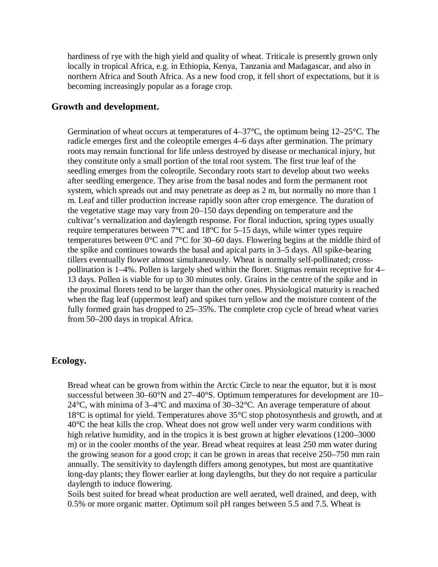hardiness of rye with the high yield and quality of wheat. Triticale is presently grown only locally in tropical Africa, e.g. in Ethiopia, Kenya, Tanzania and Madagascar, and also in northern Africa and South Africa. As a new food crop, it fell short of expectations, but it is becoming increasingly popular as a forage crop.

# **Growth and development.**

Germination of wheat occurs at temperatures of  $4-37^{\circ}$ C, the optimum being  $12-25^{\circ}$ C. The radicle emerges first and the coleoptile emerges 4–6 days after germination. The primary roots may remain functional for life unless destroyed by disease or mechanical injury, but they constitute only a small portion of the total root system. The first true leaf of the seedling emerges from the coleoptile. Secondary roots start to develop about two weeks after seedling emergence. They arise from the basal nodes and form the permanent root system, which spreads out and may penetrate as deep as 2 m, but normally no more than 1 m. Leaf and tiller production increase rapidly soon after crop emergence. The duration of the vegetative stage may vary from 20–150 days depending on temperature and the cultivar's vernalization and daylength response. For floral induction, spring types usually require temperatures between 7°C and 18°C for 5–15 days, while winter types require temperatures between 0°C and 7°C for 30–60 days. Flowering begins at the middle third of the spike and continues towards the basal and apical parts in 3–5 days. All spike-bearing tillers eventually flower almost simultaneously. Wheat is normally self-pollinated; crosspollination is 1–4%. Pollen is largely shed within the floret. Stigmas remain receptive for 4– 13 days. Pollen is viable for up to 30 minutes only. Grains in the centre of the spike and in the proximal florets tend to be larger than the other ones. Physiological maturity is reached when the flag leaf (uppermost leaf) and spikes turn yellow and the moisture content of the fully formed grain has dropped to 25–35%. The complete crop cycle of bread wheat varies from 50–200 days in tropical Africa.

# **Ecology.**

Bread wheat can be grown from within the Arctic Circle to near the equator, but it is most successful between 30–60°N and 27–40°S. Optimum temperatures for development are 10– 24°C, with minima of 3–4°C and maxima of 30–32°C. An average temperature of about  $18^{\circ}$ C is optimal for yield. Temperatures above  $35^{\circ}$ C stop photosynthesis and growth, and at 40°C the heat kills the crop. Wheat does not grow well under very warm conditions with high relative humidity, and in the tropics it is best grown at higher elevations (1200–3000) m) or in the cooler months of the year. Bread wheat requires at least 250 mm water during the growing season for a good crop; it can be grown in areas that receive 250–750 mm rain annually. The sensitivity to daylength differs among genotypes, but most are quantitative long-day plants; they flower earlier at long daylengths, but they do not require a particular daylength to induce flowering.

Soils best suited for bread wheat production are well aerated, well drained, and deep, with 0.5% or more organic matter. Optimum soil pH ranges between 5.5 and 7.5. Wheat is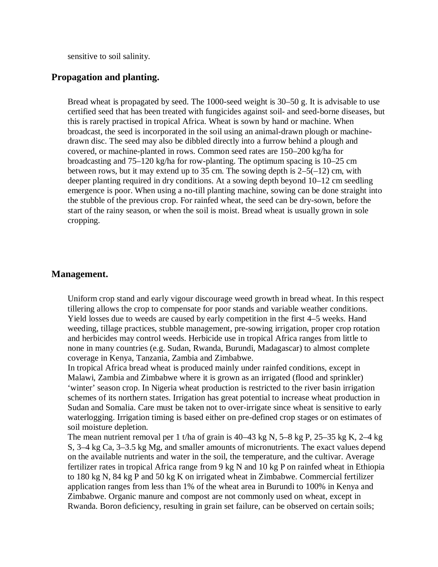sensitive to soil salinity.

### **Propagation and planting.**

Bread wheat is propagated by seed. The 1000-seed weight is 30–50 g. It is advisable to use certified seed that has been treated with fungicides against soil- and seed-borne diseases, but this is rarely practised in tropical Africa. Wheat is sown by hand or machine. When broadcast, the seed is incorporated in the soil using an animal-drawn plough or machinedrawn disc. The seed may also be dibbled directly into a furrow behind a plough and covered, or machine-planted in rows. Common seed rates are 150–200 kg/ha for broadcasting and 75–120 kg/ha for row-planting. The optimum spacing is 10–25 cm between rows, but it may extend up to 35 cm. The sowing depth is  $2-5(-12)$  cm, with deeper planting required in dry conditions. At a sowing depth beyond 10–12 cm seedling emergence is poor. When using a no-till planting machine, sowing can be done straight into the stubble of the previous crop. For rainfed wheat, the seed can be dry-sown, before the start of the rainy season, or when the soil is moist. Bread wheat is usually grown in sole cropping.

### **Management.**

Uniform crop stand and early vigour discourage weed growth in bread wheat. In this respect tillering allows the crop to compensate for poor stands and variable weather conditions. Yield losses due to weeds are caused by early competition in the first 4–5 weeks. Hand weeding, tillage practices, stubble management, pre-sowing irrigation, proper crop rotation and herbicides may control weeds. Herbicide use in tropical Africa ranges from little to none in many countries (e.g. Sudan, Rwanda, Burundi, Madagascar) to almost complete coverage in Kenya, Tanzania, Zambia and Zimbabwe.

In tropical Africa bread wheat is produced mainly under rainfed conditions, except in Malawi, Zambia and Zimbabwe where it is grown as an irrigated (flood and sprinkler) 'winter' season crop. In Nigeria wheat production is restricted to the river basin irrigation schemes of its northern states. Irrigation has great potential to increase wheat production in Sudan and Somalia. Care must be taken not to over-irrigate since wheat is sensitive to early waterlogging. Irrigation timing is based either on pre-defined crop stages or on estimates of soil moisture depletion.

The mean nutrient removal per 1 t/ha of grain is 40–43 kg N, 5–8 kg P, 25–35 kg K, 2–4 kg S, 3–4 kg Ca, 3–3.5 kg Mg, and smaller amounts of micronutrients. The exact values depend on the available nutrients and water in the soil, the temperature, and the cultivar. Average fertilizer rates in tropical Africa range from 9 kg N and 10 kg P on rainfed wheat in Ethiopia to 180 kg N, 84 kg P and 50 kg K on irrigated wheat in Zimbabwe. Commercial fertilizer application ranges from less than 1% of the wheat area in Burundi to 100% in Kenya and Zimbabwe. Organic manure and compost are not commonly used on wheat, except in Rwanda. Boron deficiency, resulting in grain set failure, can be observed on certain soils;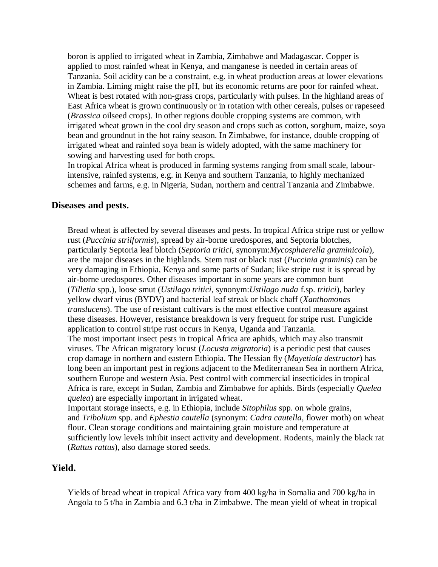boron is applied to irrigated wheat in Zambia, Zimbabwe and Madagascar. Copper is applied to most rainfed wheat in Kenya, and manganese is needed in certain areas of Tanzania. Soil acidity can be a constraint, e.g. in wheat production areas at lower elevations in Zambia. Liming might raise the pH, but its economic returns are poor for rainfed wheat. Wheat is best rotated with non-grass crops, particularly with pulses. In the highland areas of East Africa wheat is grown continuously or in rotation with other cereals, pulses or rapeseed (*Brassica* oilseed crops). In other regions double cropping systems are common, with irrigated wheat grown in the cool dry season and crops such as cotton, sorghum, maize, soya bean and groundnut in the hot rainy season. In Zimbabwe, for instance, double cropping of irrigated wheat and rainfed soya bean is widely adopted, with the same machinery for sowing and harvesting used for both crops.

In tropical Africa wheat is produced in farming systems ranging from small scale, labourintensive, rainfed systems, e.g. in Kenya and southern Tanzania, to highly mechanized schemes and farms, e.g. in Nigeria, Sudan, northern and central Tanzania and Zimbabwe.

### **Diseases and pests.**

Bread wheat is affected by several diseases and pests. In tropical Africa stripe rust or yellow rust (*Puccinia striiformis*), spread by air-borne uredospores, and Septoria blotches, particularly Septoria leaf blotch (*Septoria tritici*, synonym:*Mycosphaerella graminicola*), are the major diseases in the highlands. Stem rust or black rust (*Puccinia graminis*) can be very damaging in Ethiopia, Kenya and some parts of Sudan; like stripe rust it is spread by air-borne uredospores. Other diseases important in some years are common bunt (*Tilletia* spp.), loose smut (*Ustilago tritici*, synonym:*Ustilago nuda* f.sp. *tritici*), barley yellow dwarf virus (BYDV) and bacterial leaf streak or black chaff (*Xanthomonas translucens*). The use of resistant cultivars is the most effective control measure against these diseases. However, resistance breakdown is very frequent for stripe rust. Fungicide application to control stripe rust occurs in Kenya, Uganda and Tanzania. The most important insect pests in tropical Africa are aphids, which may also transmit viruses. The African migratory locust (*Locusta migratoria*) is a periodic pest that causes crop damage in northern and eastern Ethiopia. The Hessian fly (*Mayetiola destructor*) has long been an important pest in regions adjacent to the Mediterranean Sea in northern Africa, southern Europe and western Asia. Pest control with commercial insecticides in tropical Africa is rare, except in Sudan, Zambia and Zimbabwe for aphids. Birds (especially *Quelea quelea*) are especially important in irrigated wheat.

Important storage insects, e.g. in Ethiopia, include *Sitophilus* spp. on whole grains, and *Tribolium* spp. and *Ephestia cautella* (synonym: *Cadra cautella*, flower moth) on wheat flour. Clean storage conditions and maintaining grain moisture and temperature at sufficiently low levels inhibit insect activity and development. Rodents, mainly the black rat (*Rattus rattus*), also damage stored seeds.

# **Yield.**

Yields of bread wheat in tropical Africa vary from 400 kg/ha in Somalia and 700 kg/ha in Angola to 5 t/ha in Zambia and 6.3 t/ha in Zimbabwe. The mean yield of wheat in tropical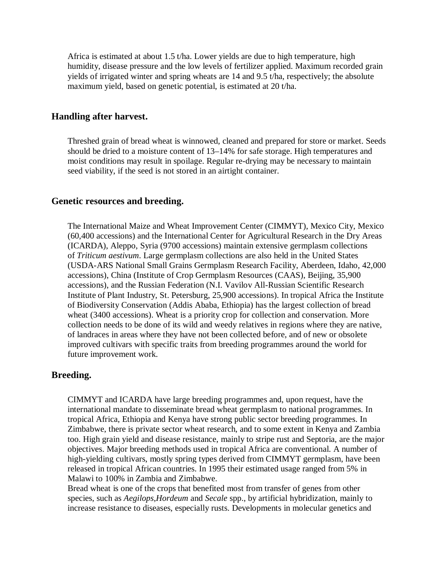Africa is estimated at about 1.5 t/ha. Lower yields are due to high temperature, high humidity, disease pressure and the low levels of fertilizer applied. Maximum recorded grain yields of irrigated winter and spring wheats are 14 and 9.5 t/ha, respectively; the absolute maximum yield, based on genetic potential, is estimated at 20 t/ha.

# **Handling after harvest.**

Threshed grain of bread wheat is winnowed, cleaned and prepared for store or market. Seeds should be dried to a moisture content of 13–14% for safe storage. High temperatures and moist conditions may result in spoilage. Regular re-drying may be necessary to maintain seed viability, if the seed is not stored in an airtight container.

# **Genetic resources and breeding.**

The International Maize and Wheat Improvement Center (CIMMYT), Mexico City, Mexico (60,400 accessions) and the International Center for Agricultural Research in the Dry Areas (ICARDA), Aleppo, Syria (9700 accessions) maintain extensive germplasm collections of *Triticum aestivum*. Large germplasm collections are also held in the United States (USDA-ARS National Small Grains Germplasm Research Facility, Aberdeen, Idaho, 42,000 accessions), China (Institute of Crop Germplasm Resources (CAAS), Beijing, 35,900 accessions), and the Russian Federation (N.I. Vavilov All-Russian Scientific Research Institute of Plant Industry, St. Petersburg, 25,900 accessions). In tropical Africa the Institute of Biodiversity Conservation (Addis Ababa, Ethiopia) has the largest collection of bread wheat (3400 accessions). Wheat is a priority crop for collection and conservation. More collection needs to be done of its wild and weedy relatives in regions where they are native, of landraces in areas where they have not been collected before, and of new or obsolete improved cultivars with specific traits from breeding programmes around the world for future improvement work.

# **Breeding.**

CIMMYT and ICARDA have large breeding programmes and, upon request, have the international mandate to disseminate bread wheat germplasm to national programmes. In tropical Africa, Ethiopia and Kenya have strong public sector breeding programmes. In Zimbabwe, there is private sector wheat research, and to some extent in Kenya and Zambia too. High grain yield and disease resistance, mainly to stripe rust and Septoria, are the major objectives. Major breeding methods used in tropical Africa are conventional. A number of high-yielding cultivars, mostly spring types derived from CIMMYT germplasm, have been released in tropical African countries. In 1995 their estimated usage ranged from 5% in Malawi to 100% in Zambia and Zimbabwe.

Bread wheat is one of the crops that benefited most from transfer of genes from other species, such as *Aegilops*,*Hordeum* and *Secale* spp., by artificial hybridization, mainly to increase resistance to diseases, especially rusts. Developments in molecular genetics and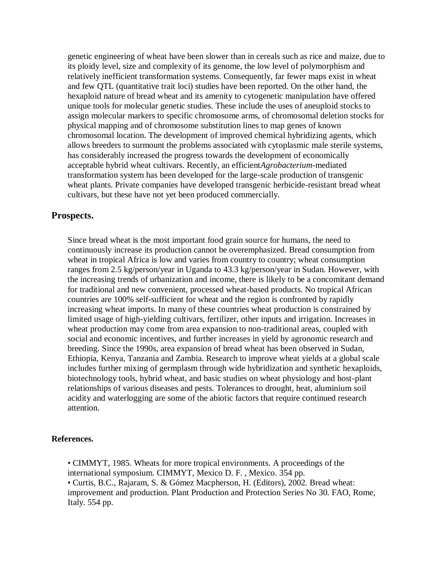genetic engineering of wheat have been slower than in cereals such as rice and maize, due to its ploidy level, size and complexity of its genome, the low level of polymorphism and relatively inefficient transformation systems. Consequently, far fewer maps exist in wheat and few QTL (quantitative trait loci) studies have been reported. On the other hand, the hexaploid nature of bread wheat and its amenity to cytogenetic manipulation have offered unique tools for molecular genetic studies. These include the uses of aneuploid stocks to assign molecular markers to specific chromosome arms, of chromosomal deletion stocks for physical mapping and of chromosome substitution lines to map genes of known chromosomal location. The development of improved chemical hybridizing agents, which allows breeders to surmount the problems associated with cytoplasmic male sterile systems, has considerably increased the progress towards the development of economically acceptable hybrid wheat cultivars. Recently, an efficient*Agrobacterium*-mediated transformation system has been developed for the large-scale production of transgenic wheat plants. Private companies have developed transgenic herbicide-resistant bread wheat cultivars, but these have not yet been produced commercially.

# **Prospects.**

Since bread wheat is the most important food grain source for humans, the need to continuously increase its production cannot be overemphasized. Bread consumption from wheat in tropical Africa is low and varies from country to country; wheat consumption ranges from 2.5 kg/person/year in Uganda to 43.3 kg/person/year in Sudan. However, with the increasing trends of urbanization and income, there is likely to be a concomitant demand for traditional and new convenient, processed wheat-based products. No tropical African countries are 100% self-sufficient for wheat and the region is confronted by rapidly increasing wheat imports. In many of these countries wheat production is constrained by limited usage of high-yielding cultivars, fertilizer, other inputs and irrigation. Increases in wheat production may come from area expansion to non-traditional areas, coupled with social and economic incentives, and further increases in yield by agronomic research and breeding. Since the 1990s, area expansion of bread wheat has been observed in Sudan, Ethiopia, Kenya, Tanzania and Zambia. Research to improve wheat yields at a global scale includes further mixing of germplasm through wide hybridization and synthetic hexaploids, biotechnology tools, hybrid wheat, and basic studies on wheat physiology and host-plant relationships of various diseases and pests. Tolerances to drought, heat, aluminium soil acidity and waterlogging are some of the abiotic factors that require continued research attention.

# **References.**

• CIMMYT, 1985. Wheats for more tropical environments. A proceedings of the international symposium. CIMMYT, Mexico D. F. , Mexico. 354 pp. • Curtis, B.C., Rajaram, S. & Gómez Macpherson, H. (Editors), 2002. Bread wheat: improvement and production. Plant Production and Protection Series No 30. FAO, Rome, Italy. 554 pp.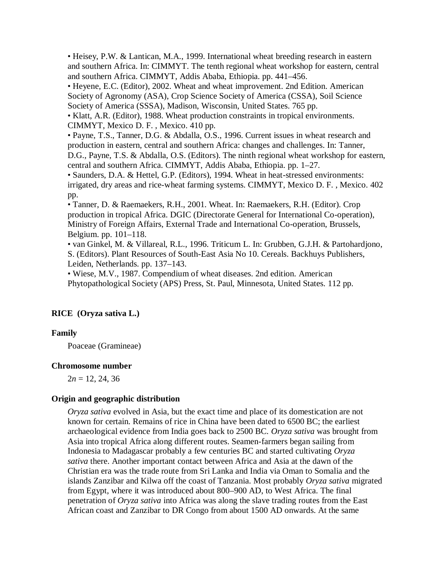• Heisey, P.W. & Lantican, M.A., 1999. International wheat breeding research in eastern and southern Africa. In: CIMMYT. The tenth regional wheat workshop for eastern, central and southern Africa. CIMMYT, Addis Ababa, Ethiopia. pp. 441–456.

• Heyene, E.C. (Editor), 2002. Wheat and wheat improvement. 2nd Edition. American Society of Agronomy (ASA), Crop Science Society of America (CSSA), Soil Science Society of America (SSSA), Madison, Wisconsin, United States. 765 pp.

• Klatt, A.R. (Editor), 1988. Wheat production constraints in tropical environments. CIMMYT, Mexico D. F. , Mexico. 410 pp.

• Payne, T.S., Tanner, D.G. & Abdalla, O.S., 1996. Current issues in wheat research and production in eastern, central and southern Africa: changes and challenges. In: Tanner, D.G., Payne, T.S. & Abdalla, O.S. (Editors). The ninth regional wheat workshop for eastern, central and southern Africa. CIMMYT, Addis Ababa, Ethiopia. pp. 1–27.

• Saunders, D.A. & Hettel, G.P. (Editors), 1994. Wheat in heat-stressed environments: irrigated, dry areas and rice-wheat farming systems. CIMMYT, Mexico D. F. , Mexico. 402 pp.

• Tanner, D. & Raemaekers, R.H., 2001. Wheat. In: Raemaekers, R.H. (Editor). Crop production in tropical Africa. DGIC (Directorate General for International Co-operation), Ministry of Foreign Affairs, External Trade and International Co-operation, Brussels, Belgium. pp. 101–118.

• van Ginkel, M. & Villareal, R.L., 1996. Triticum L. In: Grubben, G.J.H. & Partohardjono, S. (Editors). Plant Resources of South-East Asia No 10. Cereals. Backhuys Publishers, Leiden, Netherlands. pp. 137–143.

• Wiese, M.V., 1987. Compendium of wheat diseases. 2nd edition. American Phytopathological Society (APS) Press, St. Paul, Minnesota, United States. 112 pp.

# **RICE (Oryza sativa L.)**

# **Family**

Poaceae (Gramineae)

# **Chromosome number**

 $2n = 12, 24, 36$ 

# **Origin and geographic distribution**

*Oryza sativa* evolved in Asia, but the exact time and place of its domestication are not known for certain. Remains of rice in China have been dated to 6500 BC; the earliest archaeological evidence from India goes back to 2500 BC. *Oryza sativa* was brought from Asia into tropical Africa along different routes. Seamen-farmers began sailing from Indonesia to Madagascar probably a few centuries BC and started cultivating *Oryza sativa* there. Another important contact between Africa and Asia at the dawn of the Christian era was the trade route from Sri Lanka and India via Oman to Somalia and the islands Zanzibar and Kilwa off the coast of Tanzania. Most probably *Oryza sativa* migrated from Egypt, where it was introduced about 800–900 AD, to West Africa. The final penetration of *Oryza sativa* into Africa was along the slave trading routes from the East African coast and Zanzibar to DR Congo from about 1500 AD onwards. At the same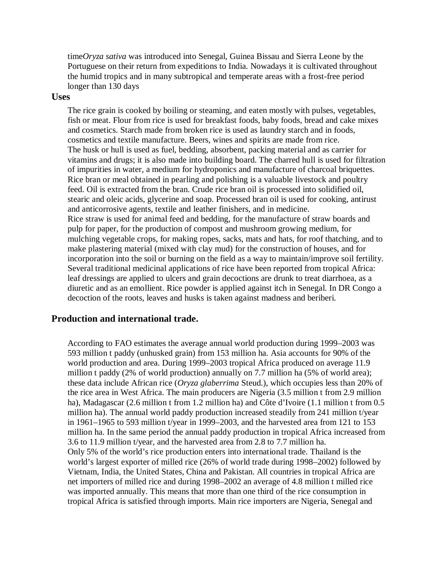time*Oryza sativa* was introduced into Senegal, Guinea Bissau and Sierra Leone by the Portuguese on their return from expeditions to India. Nowadays it is cultivated throughout the humid tropics and in many subtropical and temperate areas with a frost-free period longer than 130 days

#### **Uses**

The rice grain is cooked by boiling or steaming, and eaten mostly with pulses, vegetables, fish or meat. Flour from rice is used for breakfast foods, baby foods, bread and cake mixes and cosmetics. Starch made from broken rice is used as laundry starch and in foods, cosmetics and textile manufacture. Beers, wines and spirits are made from rice. The husk or hull is used as fuel, bedding, absorbent, packing material and as carrier for vitamins and drugs; it is also made into building board. The charred hull is used for filtration of impurities in water, a medium for hydroponics and manufacture of charcoal briquettes. Rice bran or meal obtained in pearling and polishing is a valuable livestock and poultry feed. Oil is extracted from the bran. Crude rice bran oil is processed into solidified oil, stearic and oleic acids, glycerine and soap. Processed bran oil is used for cooking, antirust and anticorrosive agents, textile and leather finishers, and in medicine. Rice straw is used for animal feed and bedding, for the manufacture of straw boards and pulp for paper, for the production of compost and mushroom growing medium, for mulching vegetable crops, for making ropes, sacks, mats and hats, for roof thatching, and to make plastering material (mixed with clay mud) for the construction of houses, and for incorporation into the soil or burning on the field as a way to maintain/improve soil fertility. Several traditional medicinal applications of rice have been reported from tropical Africa: leaf dressings are applied to ulcers and grain decoctions are drunk to treat diarrhoea, as a diuretic and as an emollient. Rice powder is applied against itch in Senegal. In DR Congo a decoction of the roots, leaves and husks is taken against madness and beriberi.

# **Production and international trade.**

According to FAO estimates the average annual world production during 1999–2003 was 593 million t paddy (unhusked grain) from 153 million ha. Asia accounts for 90% of the world production and area. During 1999–2003 tropical Africa produced on average 11.9 million t paddy (2% of world production) annually on 7.7 million ha (5% of world area); these data include African rice (*Oryza glaberrima* Steud.), which occupies less than 20% of the rice area in West Africa. The main producers are Nigeria (3.5 million t from 2.9 million ha), Madagascar (2.6 million t from 1.2 million ha) and Côte d'Ivoire (1.1 million t from 0.5 million ha). The annual world paddy production increased steadily from 241 million t/year in 1961–1965 to 593 million t/year in 1999–2003, and the harvested area from 121 to 153 million ha. In the same period the annual paddy production in tropical Africa increased from 3.6 to 11.9 million t/year, and the harvested area from 2.8 to 7.7 million ha. Only 5% of the world's rice production enters into international trade. Thailand is the world's largest exporter of milled rice (26% of world trade during 1998–2002) followed by Vietnam, India, the United States, China and Pakistan. All countries in tropical Africa are net importers of milled rice and during 1998–2002 an average of 4.8 million t milled rice was imported annually. This means that more than one third of the rice consumption in tropical Africa is satisfied through imports. Main rice importers are Nigeria, Senegal and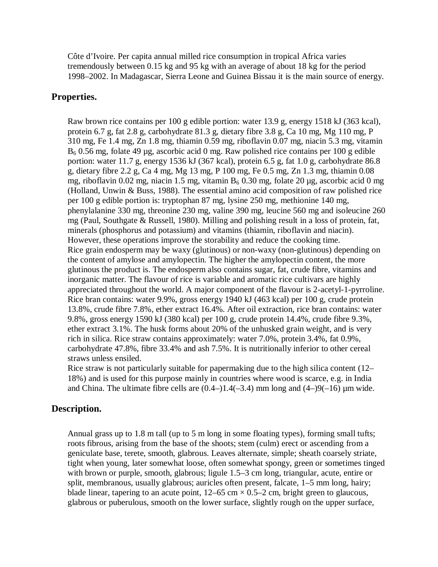Côte d'Ivoire. Per capita annual milled rice consumption in tropical Africa varies tremendously between 0.15 kg and 95 kg with an average of about 18 kg for the period 1998–2002. In Madagascar, Sierra Leone and Guinea Bissau it is the main source of energy.

# **Properties.**

Raw brown rice contains per 100 g edible portion: water 13.9 g, energy 1518 kJ (363 kcal), protein 6.7 g, fat 2.8 g, carbohydrate 81.3 g, dietary fibre 3.8 g, Ca 10 mg, Mg 110 mg, P 310 mg, Fe 1.4 mg, Zn 1.8 mg, thiamin 0.59 mg, riboflavin 0.07 mg, niacin 5.3 mg, vitamin  $B_6$  0.56 mg, folate 49 µg, ascorbic acid 0 mg. Raw polished rice contains per 100 g edible portion: water 11.7 g, energy 1536 kJ (367 kcal), protein 6.5 g, fat 1.0 g, carbohydrate 86.8 g, dietary fibre 2.2 g, Ca 4 mg, Mg 13 mg, P 100 mg, Fe 0.5 mg, Zn 1.3 mg, thiamin 0.08 mg, riboflavin 0.02 mg, niacin 1.5 mg, vitamin  $B_6$  0.30 mg, folate 20 µg, ascorbic acid 0 mg (Holland, Unwin & Buss, 1988). The essential amino acid composition of raw polished rice per 100 g edible portion is: tryptophan 87 mg, lysine 250 mg, methionine 140 mg, phenylalanine 330 mg, threonine 230 mg, valine 390 mg, leucine 560 mg and isoleucine 260 mg (Paul, Southgate & Russell, 1980). Milling and polishing result in a loss of protein, fat, minerals (phosphorus and potassium) and vitamins (thiamin, riboflavin and niacin). However, these operations improve the storability and reduce the cooking time. Rice grain endosperm may be waxy (glutinous) or non-waxy (non-glutinous) depending on the content of amylose and amylopectin. The higher the amylopectin content, the more glutinous the product is. The endosperm also contains sugar, fat, crude fibre, vitamins and inorganic matter. The flavour of rice is variable and aromatic rice cultivars are highly appreciated throughout the world. A major component of the flavour is 2-acetyl-1-pyrroline. Rice bran contains: water 9.9%, gross energy 1940 kJ (463 kcal) per 100 g, crude protein 13.8%, crude fibre 7.8%, ether extract 16.4%. After oil extraction, rice bran contains: water 9.8%, gross energy 1590 kJ (380 kcal) per 100 g, crude protein 14.4%, crude fibre 9.3%, ether extract 3.1%. The husk forms about 20% of the unhusked grain weight, and is very rich in silica. Rice straw contains approximately: water 7.0%, protein 3.4%, fat 0.9%, carbohydrate 47.8%, fibre 33.4% and ash 7.5%. It is nutritionally inferior to other cereal straws unless ensiled.

Rice straw is not particularly suitable for papermaking due to the high silica content (12– 18%) and is used for this purpose mainly in countries where wood is scarce, e.g. in India and China. The ultimate fibre cells are  $(0.4-)1.4(-3.4)$  mm long and  $(4-)9(-16)$  µm wide.

# **Description.**

Annual grass up to 1.8 m tall (up to 5 m long in some floating types), forming small tufts; roots fibrous, arising from the base of the shoots; stem (culm) erect or ascending from a geniculate base, terete, smooth, glabrous. Leaves alternate, simple; sheath coarsely striate, tight when young, later somewhat loose, often somewhat spongy, green or sometimes tinged with brown or purple, smooth, glabrous; ligule 1.5–3 cm long, triangular, acute, entire or split, membranous, usually glabrous; auricles often present, falcate, 1–5 mm long, hairy; blade linear, tapering to an acute point,  $12-65$  cm  $\times$  0.5–2 cm, bright green to glaucous, glabrous or puberulous, smooth on the lower surface, slightly rough on the upper surface,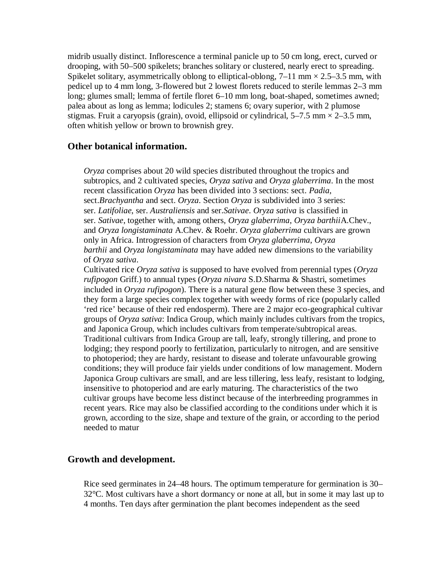midrib usually distinct. Inflorescence a terminal panicle up to 50 cm long, erect, curved or drooping, with 50–500 spikelets; branches solitary or clustered, nearly erect to spreading. Spikelet solitary, asymmetrically oblong to elliptical-oblong,  $7-11$  mm  $\times$  2.5–3.5 mm, with pedicel up to 4 mm long, 3-flowered but 2 lowest florets reduced to sterile lemmas 2–3 mm long; glumes small; lemma of fertile floret 6–10 mm long, boat-shaped, sometimes awned; palea about as long as lemma; lodicules 2; stamens 6; ovary superior, with 2 plumose stigmas. Fruit a caryopsis (grain), ovoid, ellipsoid or cylindrical,  $5-7.5$  mm  $\times$  2-3.5 mm, often whitish yellow or brown to brownish grey.

# **Other botanical information.**

*Oryza* comprises about 20 wild species distributed throughout the tropics and subtropics, and 2 cultivated species, *Oryza sativa* and *Oryza glaberrima*. In the most recent classification *Oryza* has been divided into 3 sections: sect. *Padia*, sect.*Brachyantha* and sect. *Oryza*. Section *Oryza* is subdivided into 3 series: ser. *Latifoliae*, ser. *Australiensis* and ser.*Sativae*. *Oryza sativa* is classified in ser. *Sativae*, together with, among others, *Oryza glaberrima*, *Oryza barthii*A.Chev., and *Oryza longistaminata* A.Chev. & Roehr. *Oryza glaberrima* cultivars are grown only in Africa. Introgression of characters from *Oryza glaberrima*, *Oryza barthii* and *Oryza longistaminata* may have added new dimensions to the variability of *Oryza sativa*.

Cultivated rice *Oryza sativa* is supposed to have evolved from perennial types (*Oryza rufipogon* Griff.) to annual types (*Oryza nivara* S.D.Sharma & Shastri, sometimes included in *Oryza rufipogon*). There is a natural gene flow between these 3 species, and they form a large species complex together with weedy forms of rice (popularly called 'red rice' because of their red endosperm). There are 2 major eco-geographical cultivar groups of *Oryza sativa*: Indica Group, which mainly includes cultivars from the tropics, and Japonica Group, which includes cultivars from temperate/subtropical areas. Traditional cultivars from Indica Group are tall, leafy, strongly tillering, and prone to lodging; they respond poorly to fertilization, particularly to nitrogen, and are sensitive to photoperiod; they are hardy, resistant to disease and tolerate unfavourable growing conditions; they will produce fair yields under conditions of low management. Modern Japonica Group cultivars are small, and are less tillering, less leafy, resistant to lodging, insensitive to photoperiod and are early maturing. The characteristics of the two cultivar groups have become less distinct because of the interbreeding programmes in recent years. Rice may also be classified according to the conditions under which it is grown, according to the size, shape and texture of the grain, or according to the period needed to matur

# **Growth and development.**

Rice seed germinates in 24–48 hours. The optimum temperature for germination is 30– 32°C. Most cultivars have a short dormancy or none at all, but in some it may last up to 4 months. Ten days after germination the plant becomes independent as the seed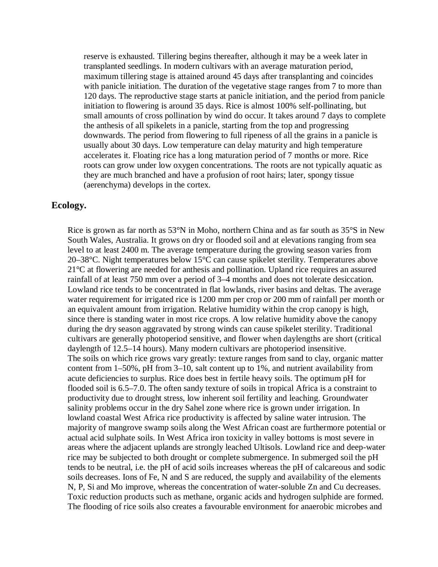reserve is exhausted. Tillering begins thereafter, although it may be a week later in transplanted seedlings. In modern cultivars with an average maturation period, maximum tillering stage is attained around 45 days after transplanting and coincides with panicle initiation. The duration of the vegetative stage ranges from 7 to more than 120 days. The reproductive stage starts at panicle initiation, and the period from panicle initiation to flowering is around 35 days. Rice is almost 100% self-pollinating, but small amounts of cross pollination by wind do occur. It takes around 7 days to complete the anthesis of all spikelets in a panicle, starting from the top and progressing downwards. The period from flowering to full ripeness of all the grains in a panicle is usually about 30 days. Low temperature can delay maturity and high temperature accelerates it. Floating rice has a long maturation period of 7 months or more. Rice roots can grow under low oxygen concentrations. The roots are not typically aquatic as they are much branched and have a profusion of root hairs; later, spongy tissue (aerenchyma) develops in the cortex.

# **Ecology.**

Rice is grown as far north as 53°N in Moho, northern China and as far south as 35°S in New South Wales, Australia. It grows on dry or flooded soil and at elevations ranging from sea level to at least 2400 m. The average temperature during the growing season varies from 20–38°C. Night temperatures below 15°C can cause spikelet sterility. Temperatures above 21°C at flowering are needed for anthesis and pollination. Upland rice requires an assured rainfall of at least 750 mm over a period of 3–4 months and does not tolerate desiccation. Lowland rice tends to be concentrated in flat lowlands, river basins and deltas. The average water requirement for irrigated rice is 1200 mm per crop or 200 mm of rainfall per month or an equivalent amount from irrigation. Relative humidity within the crop canopy is high, since there is standing water in most rice crops. A low relative humidity above the canopy during the dry season aggravated by strong winds can cause spikelet sterility. Traditional cultivars are generally photoperiod sensitive, and flower when daylengths are short (critical daylength of 12.5–14 hours). Many modern cultivars are photoperiod insensitive. The soils on which rice grows vary greatly: texture ranges from sand to clay, organic matter content from 1–50%, pH from 3–10, salt content up to 1%, and nutrient availability from acute deficiencies to surplus. Rice does best in fertile heavy soils. The optimum pH for flooded soil is 6.5–7.0. The often sandy texture of soils in tropical Africa is a constraint to productivity due to drought stress, low inherent soil fertility and leaching. Groundwater salinity problems occur in the dry Sahel zone where rice is grown under irrigation. In lowland coastal West Africa rice productivity is affected by saline water intrusion. The majority of mangrove swamp soils along the West African coast are furthermore potential or actual acid sulphate soils. In West Africa iron toxicity in valley bottoms is most severe in areas where the adjacent uplands are strongly leached Ultisols. Lowland rice and deep-water rice may be subjected to both drought or complete submergence. In submerged soil the pH tends to be neutral, i.e. the pH of acid soils increases whereas the pH of calcareous and sodic soils decreases. Ions of Fe, N and S are reduced, the supply and availability of the elements N, P, Si and Mo improve, whereas the concentration of water-soluble Zn and Cu decreases. Toxic reduction products such as methane, organic acids and hydrogen sulphide are formed. The flooding of rice soils also creates a favourable environment for anaerobic microbes and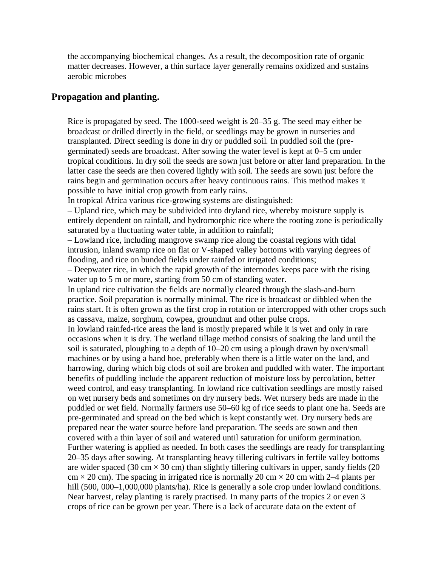the accompanying biochemical changes. As a result, the decomposition rate of organic matter decreases. However, a thin surface layer generally remains oxidized and sustains aerobic microbes

### **Propagation and planting.**

Rice is propagated by seed. The 1000-seed weight is 20–35 g. The seed may either be broadcast or drilled directly in the field, or seedlings may be grown in nurseries and transplanted. Direct seeding is done in dry or puddled soil. In puddled soil the (pregerminated) seeds are broadcast. After sowing the water level is kept at 0–5 cm under tropical conditions. In dry soil the seeds are sown just before or after land preparation. In the latter case the seeds are then covered lightly with soil. The seeds are sown just before the rains begin and germination occurs after heavy continuous rains. This method makes it possible to have initial crop growth from early rains.

In tropical Africa various rice-growing systems are distinguished:

– Upland rice, which may be subdivided into dryland rice, whereby moisture supply is entirely dependent on rainfall, and hydromorphic rice where the rooting zone is periodically saturated by a fluctuating water table, in addition to rainfall;

– Lowland rice, including mangrove swamp rice along the coastal regions with tidal intrusion, inland swamp rice on flat or V-shaped valley bottoms with varying degrees of flooding, and rice on bunded fields under rainfed or irrigated conditions;

– Deepwater rice, in which the rapid growth of the internodes keeps pace with the rising water up to 5 m or more, starting from 50 cm of standing water.

In upland rice cultivation the fields are normally cleared through the slash-and-burn practice. Soil preparation is normally minimal. The rice is broadcast or dibbled when the rains start. It is often grown as the first crop in rotation or intercropped with other crops such as cassava, maize, sorghum, cowpea, groundnut and other pulse crops.

In lowland rainfed-rice areas the land is mostly prepared while it is wet and only in rare occasions when it is dry. The wetland tillage method consists of soaking the land until the soil is saturated, ploughing to a depth of 10–20 cm using a plough drawn by oxen/small machines or by using a hand hoe, preferably when there is a little water on the land, and harrowing, during which big clods of soil are broken and puddled with water. The important benefits of puddling include the apparent reduction of moisture loss by percolation, better weed control, and easy transplanting. In lowland rice cultivation seedlings are mostly raised on wet nursery beds and sometimes on dry nursery beds. Wet nursery beds are made in the puddled or wet field. Normally farmers use 50–60 kg of rice seeds to plant one ha. Seeds are pre-germinated and spread on the bed which is kept constantly wet. Dry nursery beds are prepared near the water source before land preparation. The seeds are sown and then covered with a thin layer of soil and watered until saturation for uniform germination. Further watering is applied as needed. In both cases the seedlings are ready for transplanting 20–35 days after sowing. At transplanting heavy tillering cultivars in fertile valley bottoms are wider spaced (30 cm  $\times$  30 cm) than slightly tillering cultivars in upper, sandy fields (20  $cm \times 20$  cm). The spacing in irrigated rice is normally 20 cm  $\times$  20 cm with 2–4 plants per hill (500, 000–1,000,000 plants/ha). Rice is generally a sole crop under lowland conditions. Near harvest, relay planting is rarely practised. In many parts of the tropics 2 or even 3 crops of rice can be grown per year. There is a lack of accurate data on the extent of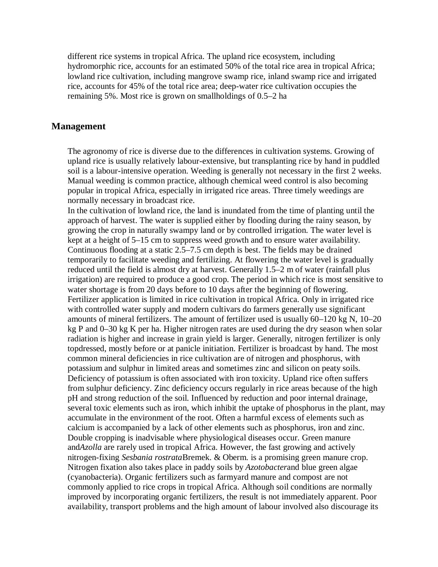different rice systems in tropical Africa. The upland rice ecosystem, including hydromorphic rice, accounts for an estimated 50% of the total rice area in tropical Africa; lowland rice cultivation, including mangrove swamp rice, inland swamp rice and irrigated rice, accounts for 45% of the total rice area; deep-water rice cultivation occupies the remaining 5%. Most rice is grown on smallholdings of 0.5–2 ha

#### **Management**

The agronomy of rice is diverse due to the differences in cultivation systems. Growing of upland rice is usually relatively labour-extensive, but transplanting rice by hand in puddled soil is a labour-intensive operation. Weeding is generally not necessary in the first 2 weeks. Manual weeding is common practice, although chemical weed control is also becoming popular in tropical Africa, especially in irrigated rice areas. Three timely weedings are normally necessary in broadcast rice.

In the cultivation of lowland rice, the land is inundated from the time of planting until the approach of harvest. The water is supplied either by flooding during the rainy season, by growing the crop in naturally swampy land or by controlled irrigation. The water level is kept at a height of 5–15 cm to suppress weed growth and to ensure water availability. Continuous flooding at a static 2.5–7.5 cm depth is best. The fields may be drained temporarily to facilitate weeding and fertilizing. At flowering the water level is gradually reduced until the field is almost dry at harvest. Generally 1.5–2 m of water (rainfall plus irrigation) are required to produce a good crop. The period in which rice is most sensitive to water shortage is from 20 days before to 10 days after the beginning of flowering. Fertilizer application is limited in rice cultivation in tropical Africa. Only in irrigated rice with controlled water supply and modern cultivars do farmers generally use significant amounts of mineral fertilizers. The amount of fertilizer used is usually 60–120 kg N, 10–20 kg P and 0–30 kg K per ha. Higher nitrogen rates are used during the dry season when solar radiation is higher and increase in grain yield is larger. Generally, nitrogen fertilizer is only topdressed, mostly before or at panicle initiation. Fertilizer is broadcast by hand. The most common mineral deficiencies in rice cultivation are of nitrogen and phosphorus, with potassium and sulphur in limited areas and sometimes zinc and silicon on peaty soils. Deficiency of potassium is often associated with iron toxicity. Upland rice often suffers from sulphur deficiency. Zinc deficiency occurs regularly in rice areas because of the high pH and strong reduction of the soil. Influenced by reduction and poor internal drainage, several toxic elements such as iron, which inhibit the uptake of phosphorus in the plant, may accumulate in the environment of the root. Often a harmful excess of elements such as calcium is accompanied by a lack of other elements such as phosphorus, iron and zinc. Double cropping is inadvisable where physiological diseases occur. Green manure and*Azolla* are rarely used in tropical Africa. However, the fast growing and actively nitrogen-fixing *Sesbania rostrata*Bremek. & Oberm. is a promising green manure crop. Nitrogen fixation also takes place in paddy soils by *Azotobacter*and blue green algae (cyanobacteria). Organic fertilizers such as farmyard manure and compost are not commonly applied to rice crops in tropical Africa. Although soil conditions are normally improved by incorporating organic fertilizers, the result is not immediately apparent. Poor availability, transport problems and the high amount of labour involved also discourage its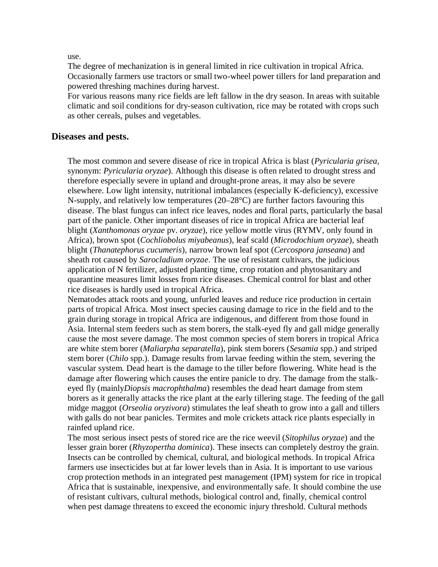use.

The degree of mechanization is in general limited in rice cultivation in tropical Africa. Occasionally farmers use tractors or small two-wheel power tillers for land preparation and powered threshing machines during harvest.

For various reasons many rice fields are left fallow in the dry season. In areas with suitable climatic and soil conditions for dry-season cultivation, rice may be rotated with crops such as other cereals, pulses and vegetables.

# **Diseases and pests.**

The most common and severe disease of rice in tropical Africa is blast (*Pyricularia grisea*, synonym: *Pyricularia oryzae*). Although this disease is often related to drought stress and therefore especially severe in upland and drought-prone areas, it may also be severe elsewhere. Low light intensity, nutritional imbalances (especially K-deficiency), excessive N-supply, and relatively low temperatures (20–28°C) are further factors favouring this disease. The blast fungus can infect rice leaves, nodes and floral parts, particularly the basal part of the panicle. Other important diseases of rice in tropical Africa are bacterial leaf blight (*Xanthomonas oryzae* pv. *oryzae*), rice yellow mottle virus (RYMV, only found in Africa), brown spot (*Cochliobolus miyabeanus*), leaf scald (*Microdochium oryzae*), sheath blight (*Thanatephorus cucumeris*), narrow brown leaf spot (*Cercospora janseana*) and sheath rot caused by *Sarocladium oryzae*. The use of resistant cultivars, the judicious application of N fertilizer, adjusted planting time, crop rotation and phytosanitary and quarantine measures limit losses from rice diseases. Chemical control for blast and other rice diseases is hardly used in tropical Africa.

Nematodes attack roots and young, unfurled leaves and reduce rice production in certain parts of tropical Africa. Most insect species causing damage to rice in the field and to the grain during storage in tropical Africa are indigenous, and different from those found in Asia. Internal stem feeders such as stem borers, the stalk-eyed fly and gall midge generally cause the most severe damage. The most common species of stem borers in tropical Africa are white stem borer (*Maliarpha separatella*), pink stem borers (*Sesamia* spp.) and striped stem borer (*Chilo* spp.). Damage results from larvae feeding within the stem, severing the vascular system. Dead heart is the damage to the tiller before flowering. White head is the damage after flowering which causes the entire panicle to dry. The damage from the stalkeyed fly (mainly*Diopsis macrophthalma*) resembles the dead heart damage from stem borers as it generally attacks the rice plant at the early tillering stage. The feeding of the gall midge maggot (*Orseolia oryzivora*) stimulates the leaf sheath to grow into a gall and tillers with galls do not bear panicles. Termites and mole crickets attack rice plants especially in rainfed upland rice.

The most serious insect pests of stored rice are the rice weevil (*Sitophilus oryzae*) and the lesser grain borer (*Rhyzopertha dominica*). These insects can completely destroy the grain. Insects can be controlled by chemical, cultural, and biological methods. In tropical Africa farmers use insecticides but at far lower levels than in Asia. It is important to use various crop protection methods in an integrated pest management (IPM) system for rice in tropical Africa that is sustainable, inexpensive, and environmentally safe. It should combine the use of resistant cultivars, cultural methods, biological control and, finally, chemical control when pest damage threatens to exceed the economic injury threshold. Cultural methods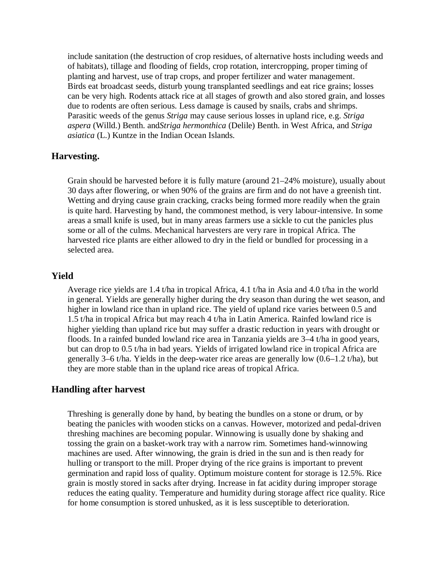include sanitation (the destruction of crop residues, of alternative hosts including weeds and of habitats), tillage and flooding of fields, crop rotation, intercropping, proper timing of planting and harvest, use of trap crops, and proper fertilizer and water management. Birds eat broadcast seeds, disturb young transplanted seedlings and eat rice grains; losses can be very high. Rodents attack rice at all stages of growth and also stored grain, and losses due to rodents are often serious. Less damage is caused by snails, crabs and shrimps. Parasitic weeds of the genus *Striga* may cause serious losses in upland rice, e.g. *Striga aspera* (Willd.) Benth. and*Striga hermonthica* (Delile) Benth. in West Africa, and *Striga asiatica* (L.) Kuntze in the Indian Ocean Islands.

# **Harvesting.**

Grain should be harvested before it is fully mature (around 21–24% moisture), usually about 30 days after flowering, or when 90% of the grains are firm and do not have a greenish tint. Wetting and drying cause grain cracking, cracks being formed more readily when the grain is quite hard. Harvesting by hand, the commonest method, is very labour-intensive. In some areas a small knife is used, but in many areas farmers use a sickle to cut the panicles plus some or all of the culms. Mechanical harvesters are very rare in tropical Africa. The harvested rice plants are either allowed to dry in the field or bundled for processing in a selected area.

# **Yield**

Average rice yields are 1.4 t/ha in tropical Africa, 4.1 t/ha in Asia and 4.0 t/ha in the world in general. Yields are generally higher during the dry season than during the wet season, and higher in lowland rice than in upland rice. The yield of upland rice varies between 0.5 and 1.5 t/ha in tropical Africa but may reach 4 t/ha in Latin America. Rainfed lowland rice is higher yielding than upland rice but may suffer a drastic reduction in years with drought or floods. In a rainfed bunded lowland rice area in Tanzania yields are 3–4 t/ha in good years, but can drop to 0.5 t/ha in bad years. Yields of irrigated lowland rice in tropical Africa are generally 3–6 t/ha. Yields in the deep-water rice areas are generally low (0.6–1.2 t/ha), but they are more stable than in the upland rice areas of tropical Africa.

# **Handling after harvest**

Threshing is generally done by hand, by beating the bundles on a stone or drum, or by beating the panicles with wooden sticks on a canvas. However, motorized and pedal-driven threshing machines are becoming popular. Winnowing is usually done by shaking and tossing the grain on a basket-work tray with a narrow rim. Sometimes hand-winnowing machines are used. After winnowing, the grain is dried in the sun and is then ready for hulling or transport to the mill. Proper drying of the rice grains is important to prevent germination and rapid loss of quality. Optimum moisture content for storage is 12.5%. Rice grain is mostly stored in sacks after drying. Increase in fat acidity during improper storage reduces the eating quality. Temperature and humidity during storage affect rice quality. Rice for home consumption is stored unhusked, as it is less susceptible to deterioration.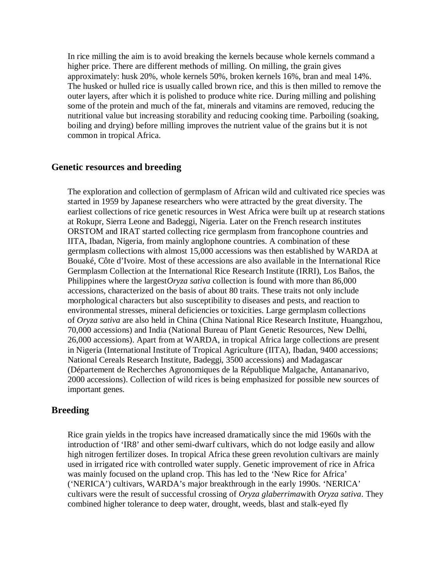In rice milling the aim is to avoid breaking the kernels because whole kernels command a higher price. There are different methods of milling. On milling, the grain gives approximately: husk 20%, whole kernels 50%, broken kernels 16%, bran and meal 14%. The husked or hulled rice is usually called brown rice, and this is then milled to remove the outer layers, after which it is polished to produce white rice. During milling and polishing some of the protein and much of the fat, minerals and vitamins are removed, reducing the nutritional value but increasing storability and reducing cooking time. Parboiling (soaking, boiling and drying) before milling improves the nutrient value of the grains but it is not common in tropical Africa.

### **Genetic resources and breeding**

The exploration and collection of germplasm of African wild and cultivated rice species was started in 1959 by Japanese researchers who were attracted by the great diversity. The earliest collections of rice genetic resources in West Africa were built up at research stations at Rokupr, Sierra Leone and Badeggi, Nigeria. Later on the French research institutes ORSTOM and IRAT started collecting rice germplasm from francophone countries and IITA, Ibadan, Nigeria, from mainly anglophone countries. A combination of these germplasm collections with almost 15,000 accessions was then established by WARDA at Bouaké, Côte d'Ivoire. Most of these accessions are also available in the International Rice Germplasm Collection at the International Rice Research Institute (IRRI), Los Baños, the Philippines where the largest*Oryza sativa* collection is found with more than 86,000 accessions, characterized on the basis of about 80 traits. These traits not only include morphological characters but also susceptibility to diseases and pests, and reaction to environmental stresses, mineral deficiencies or toxicities. Large germplasm collections of *Oryza sativa* are also held in China (China National Rice Research Institute, Huangzhou, 70,000 accessions) and India (National Bureau of Plant Genetic Resources, New Delhi, 26,000 accessions). Apart from at WARDA, in tropical Africa large collections are present in Nigeria (International Institute of Tropical Agriculture (IITA), Ibadan, 9400 accessions; National Cereals Research Institute, Badeggi, 3500 accessions) and Madagascar (Département de Recherches Agronomiques de la République Malgache, Antananarivo, 2000 accessions). Collection of wild rices is being emphasized for possible new sources of important genes.

# **Breeding**

Rice grain yields in the tropics have increased dramatically since the mid 1960s with the introduction of 'IR8' and other semi-dwarf cultivars, which do not lodge easily and allow high nitrogen fertilizer doses. In tropical Africa these green revolution cultivars are mainly used in irrigated rice with controlled water supply. Genetic improvement of rice in Africa was mainly focused on the upland crop. This has led to the 'New Rice for Africa' ('NERICA') cultivars, WARDA's major breakthrough in the early 1990s. 'NERICA' cultivars were the result of successful crossing of *Oryza glaberrima*with *Oryza sativa*. They combined higher tolerance to deep water, drought, weeds, blast and stalk-eyed fly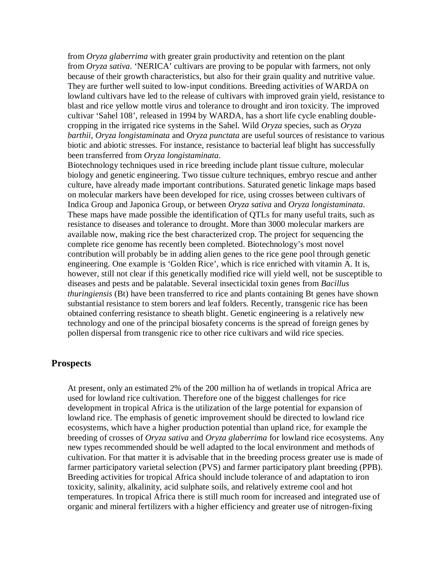from *Oryza glaberrima* with greater grain productivity and retention on the plant from *Oryza sativa*. 'NERICA' cultivars are proving to be popular with farmers, not only because of their growth characteristics, but also for their grain quality and nutritive value. They are further well suited to low-input conditions. Breeding activities of WARDA on lowland cultivars have led to the release of cultivars with improved grain yield, resistance to blast and rice yellow mottle virus and tolerance to drought and iron toxicity. The improved cultivar 'Sahel 108', released in 1994 by WARDA, has a short life cycle enabling doublecropping in the irrigated rice systems in the Sahel. Wild *Oryza* species, such as *Oryza barthii*, *Oryza longistaminata* and *Oryza punctata* are useful sources of resistance to various biotic and abiotic stresses. For instance, resistance to bacterial leaf blight has successfully been transferred from *Oryza longistaminata*.

Biotechnology techniques used in rice breeding include plant tissue culture, molecular biology and genetic engineering. Two tissue culture techniques, embryo rescue and anther culture, have already made important contributions. Saturated genetic linkage maps based on molecular markers have been developed for rice, using crosses between cultivars of Indica Group and Japonica Group, or between *Oryza sativa* and *Oryza longistaminata*. These maps have made possible the identification of QTLs for many useful traits, such as resistance to diseases and tolerance to drought. More than 3000 molecular markers are available now, making rice the best characterized crop. The project for sequencing the complete rice genome has recently been completed. Biotechnology's most novel contribution will probably be in adding alien genes to the rice gene pool through genetic engineering. One example is 'Golden Rice', which is rice enriched with vitamin A. It is, however, still not clear if this genetically modified rice will yield well, not be susceptible to diseases and pests and be palatable. Several insecticidal toxin genes from *Bacillus thuringiensis* (Bt) have been transferred to rice and plants containing Bt genes have shown substantial resistance to stem borers and leaf folders. Recently, transgenic rice has been obtained conferring resistance to sheath blight. Genetic engineering is a relatively new technology and one of the principal biosafety concerns is the spread of foreign genes by pollen dispersal from transgenic rice to other rice cultivars and wild rice species.

# **Prospects**

At present, only an estimated 2% of the 200 million ha of wetlands in tropical Africa are used for lowland rice cultivation. Therefore one of the biggest challenges for rice development in tropical Africa is the utilization of the large potential for expansion of lowland rice. The emphasis of genetic improvement should be directed to lowland rice ecosystems, which have a higher production potential than upland rice, for example the breeding of crosses of *Oryza sativa* and *Oryza glaberrima* for lowland rice ecosystems. Any new types recommended should be well adapted to the local environment and methods of cultivation. For that matter it is advisable that in the breeding process greater use is made of farmer participatory varietal selection (PVS) and farmer participatory plant breeding (PPB). Breeding activities for tropical Africa should include tolerance of and adaptation to iron toxicity, salinity, alkalinity, acid sulphate soils, and relatively extreme cool and hot temperatures. In tropical Africa there is still much room for increased and integrated use of organic and mineral fertilizers with a higher efficiency and greater use of nitrogen-fixing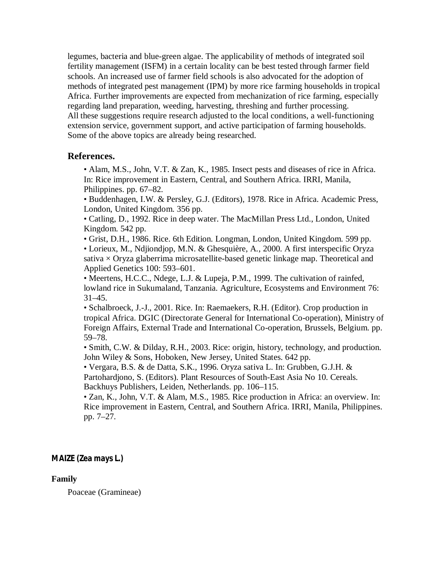legumes, bacteria and blue-green algae. The applicability of methods of integrated soil fertility management (ISFM) in a certain locality can be best tested through farmer field schools. An increased use of farmer field schools is also advocated for the adoption of methods of integrated pest management (IPM) by more rice farming households in tropical Africa. Further improvements are expected from mechanization of rice farming, especially regarding land preparation, weeding, harvesting, threshing and further processing. All these suggestions require research adjusted to the local conditions, a well-functioning extension service, government support, and active participation of farming households. Some of the above topics are already being researched.

# **References.**

- Alam, M.S., John, V.T. & Zan, K., 1985. Insect pests and diseases of rice in Africa. In: Rice improvement in Eastern, Central, and Southern Africa. IRRI, Manila, Philippines. pp. 67–82.
- Buddenhagen, I.W. & Persley, G.J. (Editors), 1978. Rice in Africa. Academic Press, London, United Kingdom. 356 pp.
- Catling, D., 1992. Rice in deep water. The MacMillan Press Ltd., London, United Kingdom. 542 pp.
- Grist, D.H., 1986. Rice. 6th Edition. Longman, London, United Kingdom. 599 pp.

• Lorieux, M., Ndjiondjop, M.N. & Ghesquière, A., 2000. A first interspecific Oryza sativa  $\times$  Oryza glaberrima microsatellite-based genetic linkage map. Theoretical and Applied Genetics 100: 593–601.

• Meertens, H.C.C., Ndege, L.J. & Lupeja, P.M., 1999. The cultivation of rainfed, lowland rice in Sukumaland, Tanzania. Agriculture, Ecosystems and Environment 76:  $31-45.$ 

• Schalbroeck, J.-J., 2001. Rice. In: Raemaekers, R.H. (Editor). Crop production in tropical Africa. DGIC (Directorate General for International Co-operation), Ministry of Foreign Affairs, External Trade and International Co-operation, Brussels, Belgium. pp. 59–78.

• Smith, C.W. & Dilday, R.H., 2003. Rice: origin, history, technology, and production. John Wiley & Sons, Hoboken, New Jersey, United States. 642 pp.

• Vergara, B.S. & de Datta, S.K., 1996. Oryza sativa L. In: Grubben, G.J.H. & Partohardjono, S. (Editors). Plant Resources of South-East Asia No 10. Cereals. Backhuys Publishers, Leiden, Netherlands. pp. 106–115.

• Zan, K., John, V.T. & Alam, M.S., 1985. Rice production in Africa: an overview. In: Rice improvement in Eastern, Central, and Southern Africa. IRRI, Manila, Philippines. pp. 7–27.

# **MAIZE (Zea mays L.)**

# **Family**

Poaceae (Gramineae)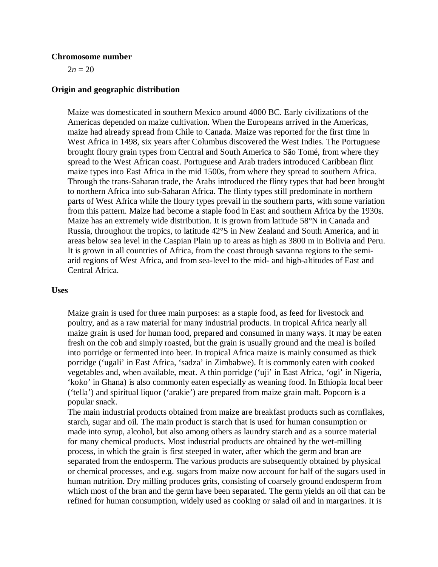#### **Chromosome number**

 $2n = 20$ 

#### **Origin and geographic distribution**

Maize was domesticated in southern Mexico around 4000 BC. Early civilizations of the Americas depended on maize cultivation. When the Europeans arrived in the Americas, maize had already spread from Chile to Canada. Maize was reported for the first time in West Africa in 1498, six years after Columbus discovered the West Indies. The Portuguese brought floury grain types from Central and South America to São Tomé, from where they spread to the West African coast. Portuguese and Arab traders introduced Caribbean flint maize types into East Africa in the mid 1500s, from where they spread to southern Africa. Through the trans-Saharan trade, the Arabs introduced the flinty types that had been brought to northern Africa into sub-Saharan Africa. The flinty types still predominate in northern parts of West Africa while the floury types prevail in the southern parts, with some variation from this pattern. Maize had become a staple food in East and southern Africa by the 1930s. Maize has an extremely wide distribution. It is grown from latitude 58°N in Canada and Russia, throughout the tropics, to latitude 42°S in New Zealand and South America, and in areas below sea level in the Caspian Plain up to areas as high as 3800 m in Bolivia and Peru. It is grown in all countries of Africa, from the coast through savanna regions to the semiarid regions of West Africa, and from sea-level to the mid- and high-altitudes of East and Central Africa.

#### **Uses**

Maize grain is used for three main purposes: as a staple food, as feed for livestock and poultry, and as a raw material for many industrial products. In tropical Africa nearly all maize grain is used for human food, prepared and consumed in many ways. It may be eaten fresh on the cob and simply roasted, but the grain is usually ground and the meal is boiled into porridge or fermented into beer. In tropical Africa maize is mainly consumed as thick porridge ('ugali' in East Africa, 'sadza' in Zimbabwe). It is commonly eaten with cooked vegetables and, when available, meat. A thin porridge ('uji' in East Africa, 'ogi' in Nigeria, 'koko' in Ghana) is also commonly eaten especially as weaning food. In Ethiopia local beer ('tella') and spiritual liquor ('arakie') are prepared from maize grain malt. Popcorn is a popular snack.

The main industrial products obtained from maize are breakfast products such as cornflakes, starch, sugar and oil. The main product is starch that is used for human consumption or made into syrup, alcohol, but also among others as laundry starch and as a source material for many chemical products. Most industrial products are obtained by the wet-milling process, in which the grain is first steeped in water, after which the germ and bran are separated from the endosperm. The various products are subsequently obtained by physical or chemical processes, and e.g. sugars from maize now account for half of the sugars used in human nutrition. Dry milling produces grits, consisting of coarsely ground endosperm from which most of the bran and the germ have been separated. The germ yields an oil that can be refined for human consumption, widely used as cooking or salad oil and in margarines. It is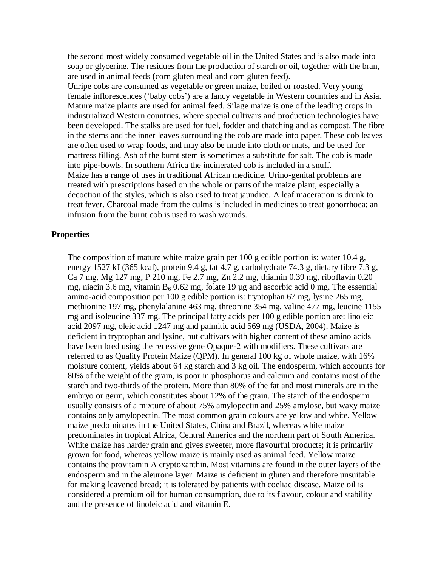the second most widely consumed vegetable oil in the United States and is also made into soap or glycerine. The residues from the production of starch or oil, together with the bran, are used in animal feeds (corn gluten meal and corn gluten feed).

Unripe cobs are consumed as vegetable or green maize, boiled or roasted. Very young female inflorescences ('baby cobs') are a fancy vegetable in Western countries and in Asia. Mature maize plants are used for animal feed. Silage maize is one of the leading crops in industrialized Western countries, where special cultivars and production technologies have been developed. The stalks are used for fuel, fodder and thatching and as compost. The fibre in the stems and the inner leaves surrounding the cob are made into paper. These cob leaves are often used to wrap foods, and may also be made into cloth or mats, and be used for mattress filling. Ash of the burnt stem is sometimes a substitute for salt. The cob is made into pipe-bowls. In southern Africa the incinerated cob is included in a snuff. Maize has a range of uses in traditional African medicine. Urino-genital problems are treated with prescriptions based on the whole or parts of the maize plant, especially a decoction of the styles, which is also used to treat jaundice. A leaf maceration is drunk to treat fever. Charcoal made from the culms is included in medicines to treat gonorrhoea; an infusion from the burnt cob is used to wash wounds.

#### **Properties**

The composition of mature white maize grain per 100 g edible portion is: water 10.4 g, energy 1527 kJ (365 kcal), protein 9.4 g, fat 4.7 g, carbohydrate 74.3 g, dietary fibre 7.3 g, Ca 7 mg, Mg 127 mg, P 210 mg, Fe 2.7 mg, Zn 2.2 mg, thiamin 0.39 mg, riboflavin 0.20 mg, niacin 3.6 mg, vitamin  $B_6$  0.62 mg, folate 19 µg and ascorbic acid 0 mg. The essential amino-acid composition per 100 g edible portion is: tryptophan 67 mg, lysine 265 mg, methionine 197 mg, phenylalanine 463 mg, threonine 354 mg, valine 477 mg, leucine 1155 mg and isoleucine 337 mg. The principal fatty acids per 100 g edible portion are: linoleic acid 2097 mg, oleic acid 1247 mg and palmitic acid 569 mg (USDA, 2004). Maize is deficient in tryptophan and lysine, but cultivars with higher content of these amino acids have been bred using the recessive gene Opaque-2 with modifiers. These cultivars are referred to as Quality Protein Maize (QPM). In general 100 kg of whole maize, with 16% moisture content, yields about 64 kg starch and 3 kg oil. The endosperm, which accounts for 80% of the weight of the grain, is poor in phosphorus and calcium and contains most of the starch and two-thirds of the protein. More than 80% of the fat and most minerals are in the embryo or germ, which constitutes about 12% of the grain. The starch of the endosperm usually consists of a mixture of about 75% amylopectin and 25% amylose, but waxy maize contains only amylopectin. The most common grain colours are yellow and white. Yellow maize predominates in the United States, China and Brazil, whereas white maize predominates in tropical Africa, Central America and the northern part of South America. White maize has harder grain and gives sweeter, more flavourful products; it is primarily grown for food, whereas yellow maize is mainly used as animal feed. Yellow maize contains the provitamin A cryptoxanthin. Most vitamins are found in the outer layers of the endosperm and in the aleurone layer. Maize is deficient in gluten and therefore unsuitable for making leavened bread; it is tolerated by patients with coeliac disease. Maize oil is considered a premium oil for human consumption, due to its flavour, colour and stability and the presence of linoleic acid and vitamin E.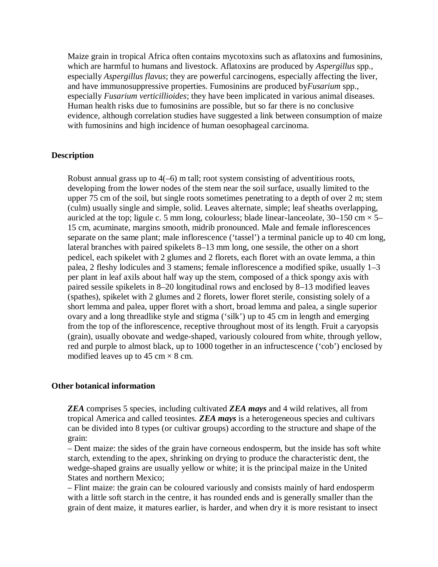Maize grain in tropical Africa often contains mycotoxins such as aflatoxins and fumosinins, which are harmful to humans and livestock. Aflatoxins are produced by *Aspergillus* spp., especially *Aspergillus flavus*; they are powerful carcinogens, especially affecting the liver, and have immunosuppressive properties. Fumosinins are produced by*Fusarium* spp., especially *Fusarium verticillioides*; they have been implicated in various animal diseases. Human health risks due to fumosinins are possible, but so far there is no conclusive evidence, although correlation studies have suggested a link between consumption of maize with fumosinins and high incidence of human oesophageal carcinoma.

#### **Description**

Robust annual grass up to 4(–6) m tall; root system consisting of adventitious roots, developing from the lower nodes of the stem near the soil surface, usually limited to the upper 75 cm of the soil, but single roots sometimes penetrating to a depth of over 2 m; stem (culm) usually single and simple, solid. Leaves alternate, simple; leaf sheaths overlapping, auricled at the top; ligule c. 5 mm long, colourless; blade linear-lanceolate,  $30-150$  cm  $\times$  5– 15 cm, acuminate, margins smooth, midrib pronounced. Male and female inflorescences separate on the same plant; male inflorescence ('tassel') a terminal panicle up to 40 cm long, lateral branches with paired spikelets 8–13 mm long, one sessile, the other on a short pedicel, each spikelet with 2 glumes and 2 florets, each floret with an ovate lemma, a thin palea, 2 fleshy lodicules and 3 stamens; female inflorescence a modified spike, usually 1–3 per plant in leaf axils about half way up the stem, composed of a thick spongy axis with paired sessile spikelets in 8–20 longitudinal rows and enclosed by 8–13 modified leaves (spathes), spikelet with 2 glumes and 2 florets, lower floret sterile, consisting solely of a short lemma and palea, upper floret with a short, broad lemma and palea, a single superior ovary and a long threadlike style and stigma ('silk') up to 45 cm in length and emerging from the top of the inflorescence, receptive throughout most of its length. Fruit a caryopsis (grain), usually obovate and wedge-shaped, variously coloured from white, through yellow, red and purple to almost black, up to 1000 together in an infructescence ('cob') enclosed by modified leaves up to 45 cm  $\times$  8 cm.

#### **Other botanical information**

*ZEA* comprises 5 species, including cultivated *ZEA mays* and 4 wild relatives, all from tropical America and called teosintes. *ZEA mays* is a heterogeneous species and cultivars can be divided into 8 types (or cultivar groups) according to the structure and shape of the grain:

– Dent maize: the sides of the grain have corneous endosperm, but the inside has soft white starch, extending to the apex, shrinking on drying to produce the characteristic dent, the wedge-shaped grains are usually yellow or white; it is the principal maize in the United States and northern Mexico;

– Flint maize: the grain can be coloured variously and consists mainly of hard endosperm with a little soft starch in the centre, it has rounded ends and is generally smaller than the grain of dent maize, it matures earlier, is harder, and when dry it is more resistant to insect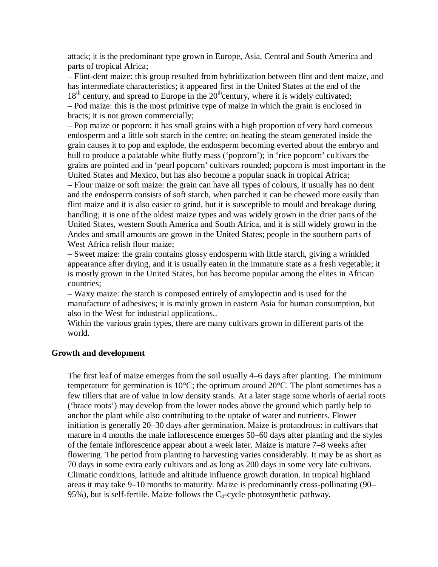attack; it is the predominant type grown in Europe, Asia, Central and South America and parts of tropical Africa;

– Flint-dent maize: this group resulted from hybridization between flint and dent maize, and has intermediate characteristics; it appeared first in the United States at the end of the  $18<sup>th</sup>$  century, and spread to Europe in the  $20<sup>th</sup>$  century, where it is widely cultivated; – Pod maize: this is the most primitive type of maize in which the grain is enclosed in bracts; it is not grown commercially;

– Pop maize or popcorn: it has small grains with a high proportion of very hard corneous endosperm and a little soft starch in the centre; on heating the steam generated inside the grain causes it to pop and explode, the endosperm becoming everted about the embryo and hull to produce a palatable white fluffy mass ('popcorn'); in 'rice popcorn' cultivars the grains are pointed and in 'pearl popcorn' cultivars rounded; popcorn is most important in the United States and Mexico, but has also become a popular snack in tropical Africa;

– Flour maize or soft maize: the grain can have all types of colours, it usually has no dent and the endosperm consists of soft starch, when parched it can be chewed more easily than flint maize and it is also easier to grind, but it is susceptible to mould and breakage during handling; it is one of the oldest maize types and was widely grown in the drier parts of the United States, western South America and South Africa, and it is still widely grown in the Andes and small amounts are grown in the United States; people in the southern parts of West Africa relish flour maize;

– Sweet maize: the grain contains glossy endosperm with little starch, giving a wrinkled appearance after drying, and it is usually eaten in the immature state as a fresh vegetable; it is mostly grown in the United States, but has become popular among the elites in African countries;

– Waxy maize: the starch is composed entirely of amylopectin and is used for the manufacture of adhesives; it is mainly grown in eastern Asia for human consumption, but also in the West for industrial applications..

Within the various grain types, there are many cultivars grown in different parts of the world.

#### **Growth and development**

The first leaf of maize emerges from the soil usually 4–6 days after planting. The minimum temperature for germination is 10°C; the optimum around 20°C. The plant sometimes has a few tillers that are of value in low density stands. At a later stage some whorls of aerial roots ('brace roots') may develop from the lower nodes above the ground which partly help to anchor the plant while also contributing to the uptake of water and nutrients. Flower initiation is generally 20–30 days after germination. Maize is protandrous: in cultivars that mature in 4 months the male inflorescence emerges 50–60 days after planting and the styles of the female inflorescence appear about a week later. Maize is mature 7–8 weeks after flowering. The period from planting to harvesting varies considerably. It may be as short as 70 days in some extra early cultivars and as long as 200 days in some very late cultivars. Climatic conditions, latitude and altitude influence growth duration. In tropical highland areas it may take 9–10 months to maturity. Maize is predominantly cross-pollinating (90– 95%), but is self-fertile. Maize follows the  $C_4$ -cycle photosynthetic pathway.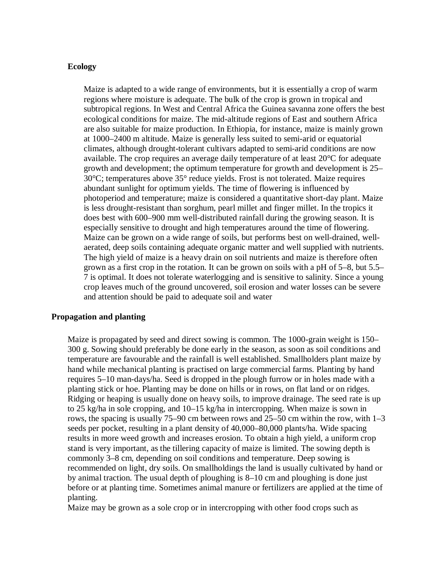#### **Ecology**

Maize is adapted to a wide range of environments, but it is essentially a crop of warm regions where moisture is adequate. The bulk of the crop is grown in tropical and subtropical regions. In West and Central Africa the Guinea savanna zone offers the best ecological conditions for maize. The mid-altitude regions of East and southern Africa are also suitable for maize production. In Ethiopia, for instance, maize is mainly grown at 1000–2400 m altitude. Maize is generally less suited to semi-arid or equatorial climates, although drought-tolerant cultivars adapted to semi-arid conditions are now available. The crop requires an average daily temperature of at least 20°C for adequate growth and development; the optimum temperature for growth and development is 25– 30°C; temperatures above 35° reduce yields. Frost is not tolerated. Maize requires abundant sunlight for optimum yields. The time of flowering is influenced by photoperiod and temperature; maize is considered a quantitative short-day plant. Maize is less drought-resistant than sorghum, pearl millet and finger millet. In the tropics it does best with 600–900 mm well-distributed rainfall during the growing season. It is especially sensitive to drought and high temperatures around the time of flowering. Maize can be grown on a wide range of soils, but performs best on well-drained, wellaerated, deep soils containing adequate organic matter and well supplied with nutrients. The high yield of maize is a heavy drain on soil nutrients and maize is therefore often grown as a first crop in the rotation. It can be grown on soils with a pH of 5–8, but 5.5– 7 is optimal. It does not tolerate waterlogging and is sensitive to salinity. Since a young crop leaves much of the ground uncovered, soil erosion and water losses can be severe and attention should be paid to adequate soil and water

#### **Propagation and planting**

Maize is propagated by seed and direct sowing is common. The 1000-grain weight is 150– 300 g. Sowing should preferably be done early in the season, as soon as soil conditions and temperature are favourable and the rainfall is well established. Smallholders plant maize by hand while mechanical planting is practised on large commercial farms. Planting by hand requires 5–10 man-days/ha. Seed is dropped in the plough furrow or in holes made with a planting stick or hoe. Planting may be done on hills or in rows, on flat land or on ridges. Ridging or heaping is usually done on heavy soils, to improve drainage. The seed rate is up to 25 kg/ha in sole cropping, and 10–15 kg/ha in intercropping. When maize is sown in rows, the spacing is usually 75–90 cm between rows and 25–50 cm within the row, with 1–3 seeds per pocket, resulting in a plant density of 40,000–80,000 plants/ha. Wide spacing results in more weed growth and increases erosion. To obtain a high yield, a uniform crop stand is very important, as the tillering capacity of maize is limited. The sowing depth is commonly 3–8 cm, depending on soil conditions and temperature. Deep sowing is recommended on light, dry soils. On smallholdings the land is usually cultivated by hand or by animal traction. The usual depth of ploughing is 8–10 cm and ploughing is done just before or at planting time. Sometimes animal manure or fertilizers are applied at the time of planting.

Maize may be grown as a sole crop or in intercropping with other food crops such as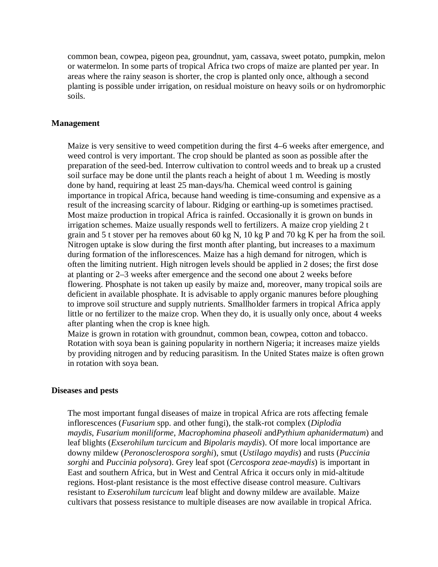common bean, cowpea, pigeon pea, groundnut, yam, cassava, sweet potato, pumpkin, melon or watermelon. In some parts of tropical Africa two crops of maize are planted per year. In areas where the rainy season is shorter, the crop is planted only once, although a second planting is possible under irrigation, on residual moisture on heavy soils or on hydromorphic soils.

#### **Management**

Maize is very sensitive to weed competition during the first 4–6 weeks after emergence, and weed control is very important. The crop should be planted as soon as possible after the preparation of the seed-bed. Interrow cultivation to control weeds and to break up a crusted soil surface may be done until the plants reach a height of about 1 m. Weeding is mostly done by hand, requiring at least 25 man-days/ha. Chemical weed control is gaining importance in tropical Africa, because hand weeding is time-consuming and expensive as a result of the increasing scarcity of labour. Ridging or earthing-up is sometimes practised. Most maize production in tropical Africa is rainfed. Occasionally it is grown on bunds in irrigation schemes. Maize usually responds well to fertilizers. A maize crop yielding 2 t grain and 5 t stover per ha removes about 60 kg N, 10 kg P and 70 kg K per ha from the soil. Nitrogen uptake is slow during the first month after planting, but increases to a maximum during formation of the inflorescences. Maize has a high demand for nitrogen, which is often the limiting nutrient. High nitrogen levels should be applied in 2 doses; the first dose at planting or 2–3 weeks after emergence and the second one about 2 weeks before flowering. Phosphate is not taken up easily by maize and, moreover, many tropical soils are deficient in available phosphate. It is advisable to apply organic manures before ploughing to improve soil structure and supply nutrients. Smallholder farmers in tropical Africa apply little or no fertilizer to the maize crop. When they do, it is usually only once, about 4 weeks after planting when the crop is knee high.

Maize is grown in rotation with groundnut, common bean, cowpea, cotton and tobacco. Rotation with soya bean is gaining popularity in northern Nigeria; it increases maize yields by providing nitrogen and by reducing parasitism. In the United States maize is often grown in rotation with soya bean.

#### **Diseases and pests**

The most important fungal diseases of maize in tropical Africa are rots affecting female inflorescences (*Fusarium* spp. and other fungi), the stalk-rot complex (*Diplodia maydis*, *Fusarium moniliforme*, *Macrophomina phaseoli* and*Pythium aphanidermatum*) and leaf blights (*Exserohilum turcicum* and *Bipolaris maydis*). Of more local importance are downy mildew (*Peronosclerospora sorghi*), smut (*Ustilago maydis*) and rusts (*Puccinia sorghi* and *Puccinia polysora*). Grey leaf spot (*Cercospora zeae-maydis*) is important in East and southern Africa, but in West and Central Africa it occurs only in mid-altitude regions. Host-plant resistance is the most effective disease control measure. Cultivars resistant to *Exserohilum turcicum* leaf blight and downy mildew are available. Maize cultivars that possess resistance to multiple diseases are now available in tropical Africa.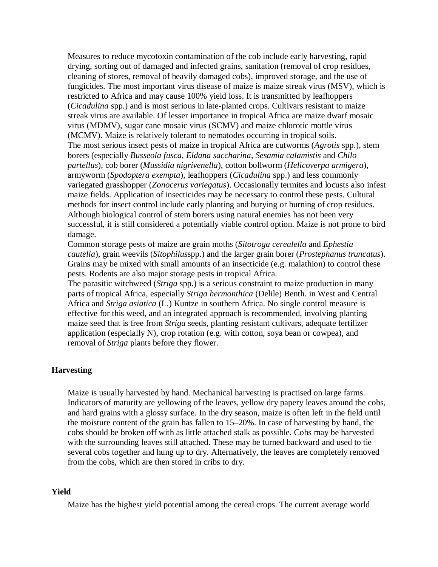Measures to reduce mycotoxin contamination of the cob include early harvesting, rapid drying, sorting out of damaged and infected grains, sanitation (removal of crop residues, cleaning of stores, removal of heavily damaged cobs), improved storage, and the use of fungicides. The most important virus disease of maize is maize streak virus (MSV), which is restricted to Africa and may cause 100% yield loss. It is transmitted by leafhoppers (*Cicadulina* spp.) and is most serious in late-planted crops. Cultivars resistant to maize streak virus are available. Of lesser importance in tropical Africa are maize dwarf mosaic virus (MDMV), sugar cane mosaic virus (SCMV) and maize chlorotic mottle virus (MCMV). Maize is relatively tolerant to nematodes occurring in tropical soils. The most serious insect pests of maize in tropical Africa are cutworms (*Agrotis* spp.), stem borers (especially *Busseola fusca*, *Eldana saccharina*, *Sesamia calamistis* and *Chilo partellus*), cob borer (*Mussidia nigrivenella*), cotton bollworm (*Helicoverpa armigera*), armyworm (*Spodoptera exempta*), leafhoppers (*Cicadulina* spp.) and less commonly variegated grasshopper (*Zonocerus variegatus*). Occasionally termites and locusts also infest maize fields. Application of insecticides may be necessary to control these pests. Cultural methods for insect control include early planting and burying or burning of crop residues. Although biological control of stem borers using natural enemies has not been very successful, it is still considered a potentially viable control option. Maize is not prone to bird damage.

Common storage pests of maize are grain moths (*Sitotroga cerealella* and *Ephestia cautella*), grain weevils (*Sitophilus*spp.) and the larger grain borer (*Prostephanus truncatus*). Grains may be mixed with small amounts of an insecticide (e.g. malathion) to control these pests. Rodents are also major storage pests in tropical Africa.

The parasitic witchweed (*Striga* spp.) is a serious constraint to maize production in many parts of tropical Africa, especially *Striga hermonthica* (Delile) Benth. in West and Central Africa and *Striga asiatica* (L.) Kuntze in southern Africa. No single control measure is effective for this weed, and an integrated approach is recommended, involving planting maize seed that is free from *Striga* seeds, planting resistant cultivars, adequate fertilizer application (especially N), crop rotation (e.g. with cotton, soya bean or cowpea), and removal of *Striga* plants before they flower.

# **Harvesting**

Maize is usually harvested by hand. Mechanical harvesting is practised on large farms. Indicators of maturity are yellowing of the leaves, yellow dry papery leaves around the cobs, and hard grains with a glossy surface. In the dry season, maize is often left in the field until the moisture content of the grain has fallen to 15–20%. In case of harvesting by hand, the cobs should be broken off with as little attached stalk as possible. Cobs may be harvested with the surrounding leaves still attached. These may be turned backward and used to tie several cobs together and hung up to dry. Alternatively, the leaves are completely removed from the cobs, which are then stored in cribs to dry.

### **Yield**

Maize has the highest yield potential among the cereal crops. The current average world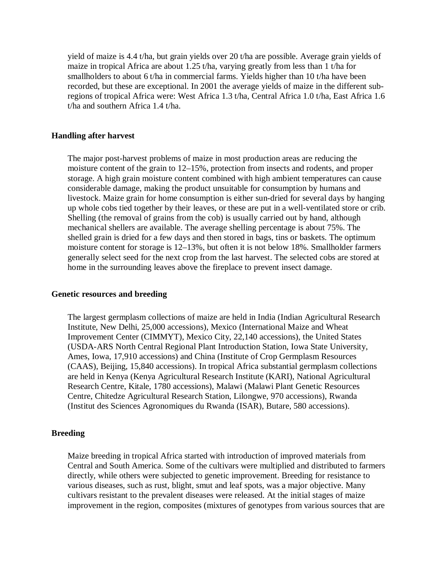yield of maize is 4.4 t/ha, but grain yields over 20 t/ha are possible. Average grain yields of maize in tropical Africa are about 1.25 t/ha, varying greatly from less than 1 t/ha for smallholders to about 6 t/ha in commercial farms. Yields higher than 10 t/ha have been recorded, but these are exceptional. In 2001 the average yields of maize in the different subregions of tropical Africa were: West Africa 1.3 t/ha, Central Africa 1.0 t/ha, East Africa 1.6 t/ha and southern Africa 1.4 t/ha.

#### **Handling after harvest**

The major post-harvest problems of maize in most production areas are reducing the moisture content of the grain to 12–15%, protection from insects and rodents, and proper storage. A high grain moisture content combined with high ambient temperatures can cause considerable damage, making the product unsuitable for consumption by humans and livestock. Maize grain for home consumption is either sun-dried for several days by hanging up whole cobs tied together by their leaves, or these are put in a well-ventilated store or crib. Shelling (the removal of grains from the cob) is usually carried out by hand, although mechanical shellers are available. The average shelling percentage is about 75%. The shelled grain is dried for a few days and then stored in bags, tins or baskets. The optimum moisture content for storage is 12–13%, but often it is not below 18%. Smallholder farmers generally select seed for the next crop from the last harvest. The selected cobs are stored at home in the surrounding leaves above the fireplace to prevent insect damage.

#### **Genetic resources and breeding**

The largest germplasm collections of maize are held in India (Indian Agricultural Research Institute, New Delhi, 25,000 accessions), Mexico (International Maize and Wheat Improvement Center (CIMMYT), Mexico City, 22,140 accessions), the United States (USDA-ARS North Central Regional Plant Introduction Station, Iowa State University, Ames, Iowa, 17,910 accessions) and China (Institute of Crop Germplasm Resources (CAAS), Beijing, 15,840 accessions). In tropical Africa substantial germplasm collections are held in Kenya (Kenya Agricultural Research Institute (KARI), National Agricultural Research Centre, Kitale, 1780 accessions), Malawi (Malawi Plant Genetic Resources Centre, Chitedze Agricultural Research Station, Lilongwe, 970 accessions), Rwanda (Institut des Sciences Agronomiques du Rwanda (ISAR), Butare, 580 accessions).

#### **Breeding**

Maize breeding in tropical Africa started with introduction of improved materials from Central and South America. Some of the cultivars were multiplied and distributed to farmers directly, while others were subjected to genetic improvement. Breeding for resistance to various diseases, such as rust, blight, smut and leaf spots, was a major objective. Many cultivars resistant to the prevalent diseases were released. At the initial stages of maize improvement in the region, composites (mixtures of genotypes from various sources that are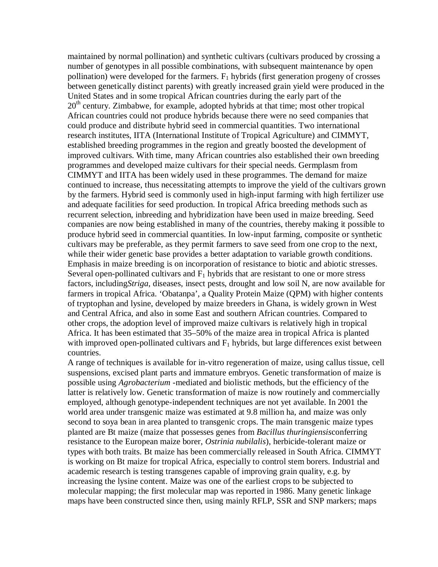maintained by normal pollination) and synthetic cultivars (cultivars produced by crossing a number of genotypes in all possible combinations, with subsequent maintenance by open pollination) were developed for the farmers.  $F_1$  hybrids (first generation progeny of crosses between genetically distinct parents) with greatly increased grain yield were produced in the United States and in some tropical African countries during the early part of the  $20<sup>th</sup>$  century. Zimbabwe, for example, adopted hybrids at that time; most other tropical African countries could not produce hybrids because there were no seed companies that could produce and distribute hybrid seed in commercial quantities. Two international research institutes, IITA (International Institute of Tropical Agriculture) and CIMMYT, established breeding programmes in the region and greatly boosted the development of improved cultivars. With time, many African countries also established their own breeding programmes and developed maize cultivars for their special needs. Germplasm from CIMMYT and IITA has been widely used in these programmes. The demand for maize continued to increase, thus necessitating attempts to improve the yield of the cultivars grown by the farmers. Hybrid seed is commonly used in high-input farming with high fertilizer use and adequate facilities for seed production. In tropical Africa breeding methods such as recurrent selection, inbreeding and hybridization have been used in maize breeding. Seed companies are now being established in many of the countries, thereby making it possible to produce hybrid seed in commercial quantities. In low-input farming, composite or synthetic cultivars may be preferable, as they permit farmers to save seed from one crop to the next, while their wider genetic base provides a better adaptation to variable growth conditions. Emphasis in maize breeding is on incorporation of resistance to biotic and abiotic stresses. Several open-pollinated cultivars and  $F_1$  hybrids that are resistant to one or more stress factors, including*Striga*, diseases, insect pests, drought and low soil N, are now available for farmers in tropical Africa. 'Obatanpa', a Quality Protein Maize (QPM) with higher contents of tryptophan and lysine, developed by maize breeders in Ghana, is widely grown in West and Central Africa, and also in some East and southern African countries. Compared to other crops, the adoption level of improved maize cultivars is relatively high in tropical Africa. It has been estimated that 35–50% of the maize area in tropical Africa is planted with improved open-pollinated cultivars and  $F_1$  hybrids, but large differences exist between countries.

A range of techniques is available for in-vitro regeneration of maize, using callus tissue, cell suspensions, excised plant parts and immature embryos. Genetic transformation of maize is possible using *Agrobacterium* -mediated and biolistic methods, but the efficiency of the latter is relatively low. Genetic transformation of maize is now routinely and commercially employed, although genotype-independent techniques are not yet available. In 2001 the world area under transgenic maize was estimated at 9.8 million ha, and maize was only second to soya bean in area planted to transgenic crops. The main transgenic maize types planted are Bt maize (maize that possesses genes from *Bacillus thuringiensis*conferring resistance to the European maize borer, *Ostrinia nubilalis*), herbicide-tolerant maize or types with both traits. Bt maize has been commercially released in South Africa. CIMMYT is working on Bt maize for tropical Africa, especially to control stem borers. Industrial and academic research is testing transgenes capable of improving grain quality, e.g. by increasing the lysine content. Maize was one of the earliest crops to be subjected to molecular mapping; the first molecular map was reported in 1986. Many genetic linkage maps have been constructed since then, using mainly RFLP, SSR and SNP markers; maps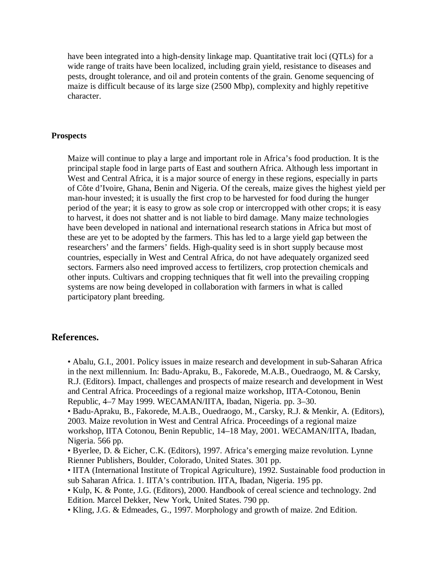have been integrated into a high-density linkage map. Quantitative trait loci (QTLs) for a wide range of traits have been localized, including grain yield, resistance to diseases and pests, drought tolerance, and oil and protein contents of the grain. Genome sequencing of maize is difficult because of its large size (2500 Mbp), complexity and highly repetitive character.

### **Prospects**

Maize will continue to play a large and important role in Africa's food production. It is the principal staple food in large parts of East and southern Africa. Although less important in West and Central Africa, it is a major source of energy in these regions, especially in parts of Côte d'Ivoire, Ghana, Benin and Nigeria. Of the cereals, maize gives the highest yield per man-hour invested; it is usually the first crop to be harvested for food during the hunger period of the year; it is easy to grow as sole crop or intercropped with other crops; it is easy to harvest, it does not shatter and is not liable to bird damage. Many maize technologies have been developed in national and international research stations in Africa but most of these are yet to be adopted by the farmers. This has led to a large yield gap between the researchers' and the farmers' fields. High-quality seed is in short supply because most countries, especially in West and Central Africa, do not have adequately organized seed sectors. Farmers also need improved access to fertilizers, crop protection chemicals and other inputs. Cultivars and cropping techniques that fit well into the prevailing cropping systems are now being developed in collaboration with farmers in what is called participatory plant breeding.

# **References.**

• Abalu, G.I., 2001. Policy issues in maize research and development in sub-Saharan Africa in the next millennium. In: Badu-Apraku, B., Fakorede, M.A.B., Ouedraogo, M. & Carsky, R.J. (Editors). Impact, challenges and prospects of maize research and development in West and Central Africa. Proceedings of a regional maize workshop, IITA-Cotonou, Benin Republic, 4–7 May 1999. WECAMAN/IITA, Ibadan, Nigeria. pp. 3–30.

• Badu-Apraku, B., Fakorede, M.A.B., Ouedraogo, M., Carsky, R.J. & Menkir, A. (Editors), 2003. Maize revolution in West and Central Africa. Proceedings of a regional maize workshop, IITA Cotonou, Benin Republic, 14–18 May, 2001. WECAMAN/IITA, Ibadan, Nigeria. 566 pp.

• Byerlee, D. & Eicher, C.K. (Editors), 1997. Africa's emerging maize revolution. Lynne Rienner Publishers, Boulder, Colorado, United States. 301 pp.

• IITA (International Institute of Tropical Agriculture), 1992. Sustainable food production in sub Saharan Africa. 1. IITA's contribution. IITA, Ibadan, Nigeria. 195 pp.

• Kulp, K. & Ponte, J.G. (Editors), 2000. Handbook of cereal science and technology. 2nd Edition. Marcel Dekker, New York, United States. 790 pp.

• Kling, J.G. & Edmeades, G., 1997. Morphology and growth of maize. 2nd Edition.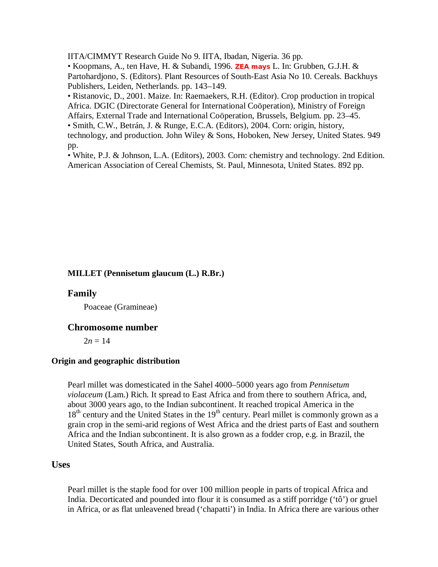IITA/CIMMYT Research Guide No 9. IITA, Ibadan, Nigeria. 36 pp.

• Koopmans, A., ten Have, H. & Subandi, 1996. **ZEA mays** L. In: Grubben, G.J.H. & Partohardjono, S. (Editors). Plant Resources of South-East Asia No 10. Cereals. Backhuys Publishers, Leiden, Netherlands. pp. 143–149.

• Ristanovic, D., 2001. Maize. In: Raemaekers, R.H. (Editor). Crop production in tropical Africa. DGIC (Directorate General for International Coöperation), Ministry of Foreign Affairs, External Trade and International Coöperation, Brussels, Belgium. pp. 23–45.

• Smith, C.W., Betrán, J. & Runge, E.C.A. (Editors), 2004. Corn: origin, history,

technology, and production. John Wiley & Sons, Hoboken, New Jersey, United States. 949 pp.

• White, P.J. & Johnson, L.A. (Editors), 2003. Corn: chemistry and technology. 2nd Edition. American Association of Cereal Chemists, St. Paul, Minnesota, United States. 892 pp.

### **MILLET (Pennisetum glaucum (L.) R.Br.)**

#### **Family**

Poaceae (Gramineae)

# **Chromosome number**

 $2n = 14$ 

#### **Origin and geographic distribution**

Pearl millet was domesticated in the Sahel 4000–5000 years ago from *Pennisetum violaceum* (Lam.) Rich. It spread to East Africa and from there to southern Africa, and, about 3000 years ago, to the Indian subcontinent. It reached tropical America in the  $18<sup>th</sup>$  century and the United States in the  $19<sup>th</sup>$  century. Pearl millet is commonly grown as a grain crop in the semi-arid regions of West Africa and the driest parts of East and southern Africa and the Indian subcontinent. It is also grown as a fodder crop, e.g. in Brazil, the United States, South Africa, and Australia.

# **Uses**

Pearl millet is the staple food for over 100 million people in parts of tropical Africa and India. Decorticated and pounded into flour it is consumed as a stiff porridge ('tô') or gruel in Africa, or as flat unleavened bread ('chapatti') in India. In Africa there are various other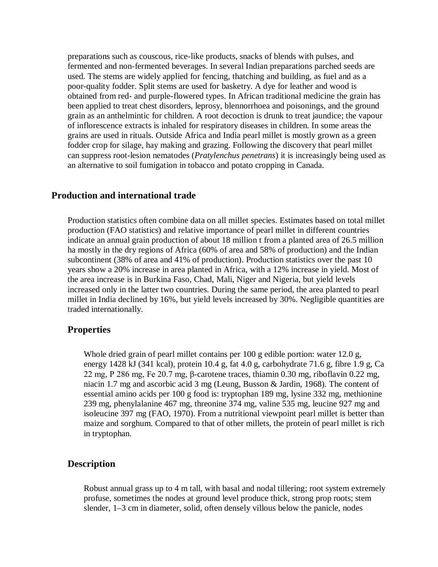preparations such as couscous, rice-like products, snacks of blends with pulses, and fermented and non-fermented beverages. In several Indian preparations parched seeds are used. The stems are widely applied for fencing, thatching and building, as fuel and as a poor-quality fodder. Split stems are used for basketry. A dye for leather and wood is obtained from red- and purple-flowered types. In African traditional medicine the grain has been applied to treat chest disorders, leprosy, blennorrhoea and poisonings, and the ground grain as an anthelmintic for children. A root decoction is drunk to treat jaundice; the vapour of inflorescence extracts is inhaled for respiratory diseases in children. In some areas the grains are used in rituals. Outside Africa and India pearl millet is mostly grown as a green fodder crop for silage, hay making and grazing. Following the discovery that pearl millet can suppress root-lesion nematodes (*Pratylenchus penetrans*) it is increasingly being used as an alternative to soil fumigation in tobacco and potato cropping in Canada.

# **Production and international trade**

Production statistics often combine data on all millet species. Estimates based on total millet production (FAO statistics) and relative importance of pearl millet in different countries indicate an annual grain production of about 18 million t from a planted area of 26.5 million ha mostly in the dry regions of Africa (60% of area and 58% of production) and the Indian subcontinent (38% of area and 41% of production). Production statistics over the past 10 years show a 20% increase in area planted in Africa, with a 12% increase in yield. Most of the area increase is in Burkina Faso, Chad, Mali, Niger and Nigeria, but yield levels increased only in the latter two countries. During the same period, the area planted to pearl millet in India declined by 16%, but yield levels increased by 30%. Negligible quantities are traded internationally.

### **Properties**

Whole dried grain of pearl millet contains per 100 g edible portion: water 12.0 g, energy 1428 kJ (341 kcal), protein 10.4 g, fat 4.0 g, carbohydrate 71.6 g, fibre 1.9 g, Ca 22 mg, P 286 mg, Fe 20.7 mg, β-carotene traces, thiamin 0.30 mg, riboflavin 0.22 mg, niacin 1.7 mg and ascorbic acid 3 mg (Leung, Busson & Jardin, 1968). The content of essential amino acids per 100 g food is: tryptophan 189 mg, lysine 332 mg, methionine 239 mg, phenylalanine 467 mg, threonine 374 mg, valine 535 mg, leucine 927 mg and isoleucine 397 mg (FAO, 1970). From a nutritional viewpoint pearl millet is better than maize and sorghum. Compared to that of other millets, the protein of pearl millet is rich in tryptophan.

### **Description**

Robust annual grass up to 4 m tall, with basal and nodal tillering; root system extremely profuse, sometimes the nodes at ground level produce thick, strong prop roots; stem slender, 1–3 cm in diameter, solid, often densely villous below the panicle, nodes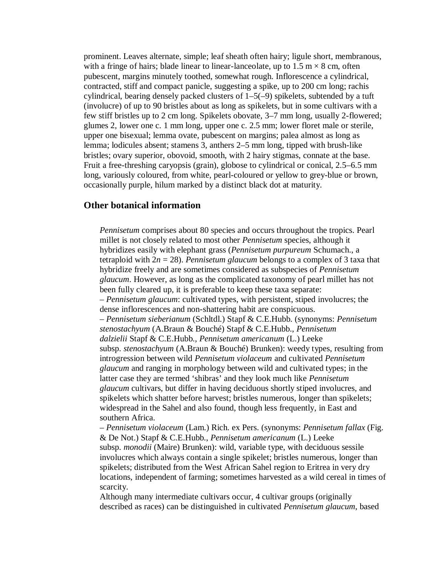prominent. Leaves alternate, simple; leaf sheath often hairy; ligule short, membranous, with a fringe of hairs; blade linear to linear-lanceolate, up to  $1.5 \text{ m} \times 8 \text{ cm}$ , often pubescent, margins minutely toothed, somewhat rough. Inflorescence a cylindrical, contracted, stiff and compact panicle, suggesting a spike, up to 200 cm long; rachis cylindrical, bearing densely packed clusters of 1–5(–9) spikelets, subtended by a tuft (involucre) of up to 90 bristles about as long as spikelets, but in some cultivars with a few stiff bristles up to 2 cm long. Spikelets obovate, 3–7 mm long, usually 2-flowered; glumes 2, lower one c. 1 mm long, upper one c. 2.5 mm; lower floret male or sterile, upper one bisexual; lemma ovate, pubescent on margins; palea almost as long as lemma; lodicules absent; stamens 3, anthers 2–5 mm long, tipped with brush-like bristles; ovary superior, obovoid, smooth, with 2 hairy stigmas, connate at the base. Fruit a free-threshing caryopsis (grain), globose to cylindrical or conical, 2.5–6.5 mm long, variously coloured, from white, pearl-coloured or yellow to grey-blue or brown, occasionally purple, hilum marked by a distinct black dot at maturity.

# **Other botanical information**

*Pennisetum* comprises about 80 species and occurs throughout the tropics. Pearl millet is not closely related to most other *Pennisetum* species, although it hybridizes easily with elephant grass (*Pennisetum purpureum* Schumach., a tetraploid with 2*n* = 28). *Pennisetum glaucum* belongs to a complex of 3 taxa that hybridize freely and are sometimes considered as subspecies of *Pennisetum glaucum*. However, as long as the complicated taxonomy of pearl millet has not been fully cleared up, it is preferable to keep these taxa separate: – *Pennisetum glaucum*: cultivated types, with persistent, stiped involucres; the dense inflorescences and non-shattering habit are conspicuous. – *Pennisetum sieberianum* (Schltdl.) Stapf & C.E.Hubb. (synonyms: *Pennisetum stenostachyum* (A.Braun & Bouché) Stapf & C.E.Hubb., *Pennisetum dalzielii* Stapf & C.E.Hubb., *Pennisetum americanum* (L.) Leeke subsp. *stenostachyum* (A.Braun & Bouché) Brunken): weedy types, resulting from introgression between wild *Pennisetum violaceum* and cultivated *Pennisetum glaucum* and ranging in morphology between wild and cultivated types; in the latter case they are termed 'shibras' and they look much like *Pennisetum glaucum* cultivars, but differ in having deciduous shortly stiped involucres, and spikelets which shatter before harvest; bristles numerous, longer than spikelets; widespread in the Sahel and also found, though less frequently, in East and southern Africa.

– *Pennisetum violaceum* (Lam.) Rich. ex Pers. (synonyms: *Pennisetum fallax* (Fig. & De Not.) Stapf & C.E.Hubb., *Pennisetum americanum* (L.) Leeke subsp. *monodii* (Maire) Brunken): wild, variable type, with deciduous sessile involucres which always contain a single spikelet; bristles numerous, longer than spikelets; distributed from the West African Sahel region to Eritrea in very dry locations, independent of farming; sometimes harvested as a wild cereal in times of scarcity.

Although many intermediate cultivars occur, 4 cultivar groups (originally described as races) can be distinguished in cultivated *Pennisetum glaucum*, based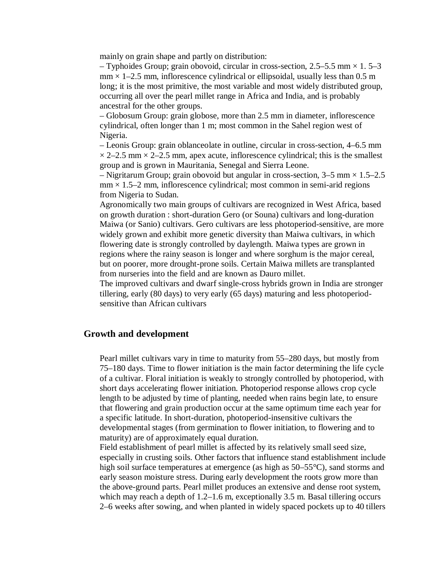mainly on grain shape and partly on distribution:

– Typhoides Group; grain obovoid, circular in cross-section, 2.5–5.5 mm  $\times$  1.5–3  $mm \times 1-2.5$  mm, inflorescence cylindrical or ellipsoidal, usually less than 0.5 m long; it is the most primitive, the most variable and most widely distributed group, occurring all over the pearl millet range in Africa and India, and is probably ancestral for the other groups.

– Globosum Group: grain globose, more than 2.5 mm in diameter, inflorescence cylindrical, often longer than 1 m; most common in the Sahel region west of Nigeria.

– Leonis Group: grain oblanceolate in outline, circular in cross-section, 4–6.5 mm  $\times$  2–2.5 mm  $\times$  2–2.5 mm, apex acute, inflorescence cylindrical; this is the smallest group and is grown in Mauritania, Senegal and Sierra Leone.

– Nigritarum Group; grain obovoid but angular in cross-section,  $3-5$  mm  $\times$  1.5–2.5  $mm \times 1.5-2$  mm, inflorescence cylindrical; most common in semi-arid regions from Nigeria to Sudan.

Agronomically two main groups of cultivars are recognized in West Africa, based on growth duration : short-duration Gero (or Souna) cultivars and long-duration Maiwa (or Sanio) cultivars. Gero cultivars are less photoperiod-sensitive, are more widely grown and exhibit more genetic diversity than Maiwa cultivars, in which flowering date is strongly controlled by daylength. Maiwa types are grown in regions where the rainy season is longer and where sorghum is the major cereal, but on poorer, more drought-prone soils. Certain Maiwa millets are transplanted from nurseries into the field and are known as Dauro millet.

The improved cultivars and dwarf single-cross hybrids grown in India are stronger tillering, early (80 days) to very early (65 days) maturing and less photoperiodsensitive than African cultivars

#### **Growth and development**

Pearl millet cultivars vary in time to maturity from 55–280 days, but mostly from 75–180 days. Time to flower initiation is the main factor determining the life cycle of a cultivar. Floral initiation is weakly to strongly controlled by photoperiod, with short days accelerating flower initiation. Photoperiod response allows crop cycle length to be adjusted by time of planting, needed when rains begin late, to ensure that flowering and grain production occur at the same optimum time each year for a specific latitude. In short-duration, photoperiod-insensitive cultivars the developmental stages (from germination to flower initiation, to flowering and to maturity) are of approximately equal duration.

Field establishment of pearl millet is affected by its relatively small seed size, especially in crusting soils. Other factors that influence stand establishment include high soil surface temperatures at emergence (as high as 50–55<sup>o</sup>C), sand storms and early season moisture stress. During early development the roots grow more than the above-ground parts. Pearl millet produces an extensive and dense root system, which may reach a depth of 1.2–1.6 m, exceptionally 3.5 m. Basal tillering occurs 2–6 weeks after sowing, and when planted in widely spaced pockets up to 40 tillers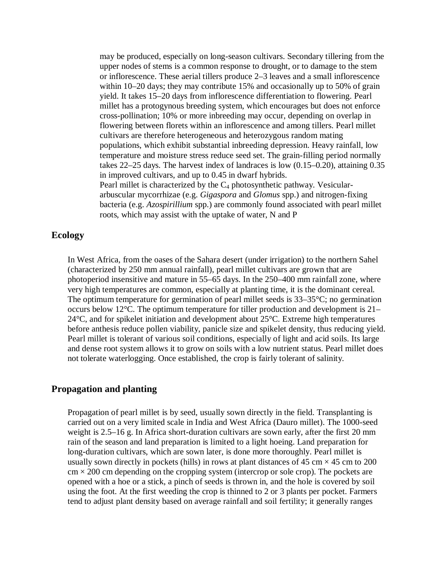may be produced, especially on long-season cultivars. Secondary tillering from the upper nodes of stems is a common response to drought, or to damage to the stem or inflorescence. These aerial tillers produce 2–3 leaves and a small inflorescence within 10–20 days; they may contribute 15% and occasionally up to 50% of grain yield. It takes 15–20 days from inflorescence differentiation to flowering. Pearl millet has a protogynous breeding system, which encourages but does not enforce cross-pollination; 10% or more inbreeding may occur, depending on overlap in flowering between florets within an inflorescence and among tillers. Pearl millet cultivars are therefore heterogeneous and heterozygous random mating populations, which exhibit substantial inbreeding depression. Heavy rainfall, low temperature and moisture stress reduce seed set. The grain-filling period normally takes 22–25 days. The harvest index of landraces is low (0.15–0.20), attaining 0.35 in improved cultivars, and up to 0.45 in dwarf hybrids. Pearl millet is characterized by the  $C_4$  photosynthetic pathway. Vesiculararbuscular mycorrhizae (e.g. *Gigaspora* and *Glomus* spp.) and nitrogen-fixing bacteria (e.g. *Azospirillium* spp.) are commonly found associated with pearl millet roots, which may assist with the uptake of water, N and P

### **Ecology**

In West Africa, from the oases of the Sahara desert (under irrigation) to the northern Sahel (characterized by 250 mm annual rainfall), pearl millet cultivars are grown that are photoperiod insensitive and mature in 55–65 days. In the 250–400 mm rainfall zone, where very high temperatures are common, especially at planting time, it is the dominant cereal. The optimum temperature for germination of pearl millet seeds is 33–35°C; no germination occurs below 12°C. The optimum temperature for tiller production and development is 21– 24°C, and for spikelet initiation and development about 25°C. Extreme high temperatures before anthesis reduce pollen viability, panicle size and spikelet density, thus reducing yield. Pearl millet is tolerant of various soil conditions, especially of light and acid soils. Its large and dense root system allows it to grow on soils with a low nutrient status. Pearl millet does not tolerate waterlogging. Once established, the crop is fairly tolerant of salinity.

# **Propagation and planting**

Propagation of pearl millet is by seed, usually sown directly in the field. Transplanting is carried out on a very limited scale in India and West Africa (Dauro millet). The 1000-seed weight is 2.5–16 g. In Africa short-duration cultivars are sown early, after the first 20 mm rain of the season and land preparation is limited to a light hoeing. Land preparation for long-duration cultivars, which are sown later, is done more thoroughly. Pearl millet is usually sown directly in pockets (hills) in rows at plant distances of  $45 \text{ cm} \times 45 \text{ cm}$  to  $200$  $\text{cm} \times 200 \text{ cm}$  depending on the cropping system (intercrop or sole crop). The pockets are opened with a hoe or a stick, a pinch of seeds is thrown in, and the hole is covered by soil using the foot. At the first weeding the crop is thinned to 2 or 3 plants per pocket. Farmers tend to adjust plant density based on average rainfall and soil fertility; it generally ranges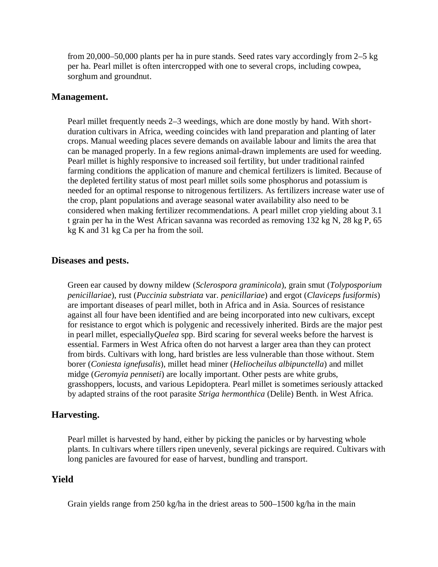from 20,000–50,000 plants per ha in pure stands. Seed rates vary accordingly from 2–5 kg per ha. Pearl millet is often intercropped with one to several crops, including cowpea, sorghum and groundnut.

# **Management.**

Pearl millet frequently needs 2–3 weedings, which are done mostly by hand. With shortduration cultivars in Africa, weeding coincides with land preparation and planting of later crops. Manual weeding places severe demands on available labour and limits the area that can be managed properly. In a few regions animal-drawn implements are used for weeding. Pearl millet is highly responsive to increased soil fertility, but under traditional rainfed farming conditions the application of manure and chemical fertilizers is limited. Because of the depleted fertility status of most pearl millet soils some phosphorus and potassium is needed for an optimal response to nitrogenous fertilizers. As fertilizers increase water use of the crop, plant populations and average seasonal water availability also need to be considered when making fertilizer recommendations. A pearl millet crop yielding about 3.1 t grain per ha in the West African savanna was recorded as removing 132 kg N, 28 kg P, 65 kg K and 31 kg Ca per ha from the soil.

# **Diseases and pests.**

Green ear caused by downy mildew (*Sclerospora graminicola*), grain smut (*Tolyposporium penicillariae*), rust (*Puccinia substriata* var. *penicillariae*) and ergot (*Claviceps fusiformis*) are important diseases of pearl millet, both in Africa and in Asia. Sources of resistance against all four have been identified and are being incorporated into new cultivars, except for resistance to ergot which is polygenic and recessively inherited. Birds are the major pest in pearl millet, especially*Quelea* spp. Bird scaring for several weeks before the harvest is essential. Farmers in West Africa often do not harvest a larger area than they can protect from birds. Cultivars with long, hard bristles are less vulnerable than those without. Stem borer (*Coniesta ignefusalis*), millet head miner (*Heliocheilus albipunctella*) and millet midge (*Geromyia penniseti*) are locally important. Other pests are white grubs, grasshoppers, locusts, and various Lepidoptera. Pearl millet is sometimes seriously attacked by adapted strains of the root parasite *Striga hermonthica* (Delile) Benth. in West Africa.

# **Harvesting.**

Pearl millet is harvested by hand, either by picking the panicles or by harvesting whole plants. In cultivars where tillers ripen unevenly, several pickings are required. Cultivars with long panicles are favoured for ease of harvest, bundling and transport.

# **Yield**

Grain yields range from 250 kg/ha in the driest areas to 500–1500 kg/ha in the main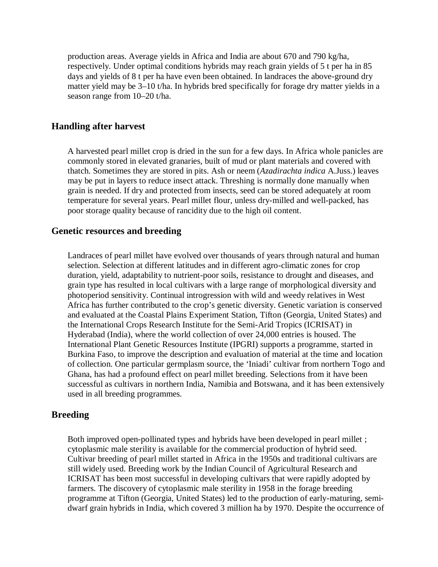production areas. Average yields in Africa and India are about 670 and 790 kg/ha, respectively. Under optimal conditions hybrids may reach grain yields of 5 t per ha in 85 days and yields of 8 t per ha have even been obtained. In landraces the above-ground dry matter yield may be 3–10 t/ha. In hybrids bred specifically for forage dry matter yields in a season range from 10–20 t/ha.

# **Handling after harvest**

A harvested pearl millet crop is dried in the sun for a few days. In Africa whole panicles are commonly stored in elevated granaries, built of mud or plant materials and covered with thatch. Sometimes they are stored in pits. Ash or neem (*Azadirachta indica* A.Juss.) leaves may be put in layers to reduce insect attack. Threshing is normally done manually when grain is needed. If dry and protected from insects, seed can be stored adequately at room temperature for several years. Pearl millet flour, unless dry-milled and well-packed, has poor storage quality because of rancidity due to the high oil content.

#### **Genetic resources and breeding**

Landraces of pearl millet have evolved over thousands of years through natural and human selection. Selection at different latitudes and in different agro-climatic zones for crop duration, yield, adaptability to nutrient-poor soils, resistance to drought and diseases, and grain type has resulted in local cultivars with a large range of morphological diversity and photoperiod sensitivity. Continual introgression with wild and weedy relatives in West Africa has further contributed to the crop's genetic diversity. Genetic variation is conserved and evaluated at the Coastal Plains Experiment Station, Tifton (Georgia, United States) and the International Crops Research Institute for the Semi-Arid Tropics (ICRISAT) in Hyderabad (India), where the world collection of over 24,000 entries is housed. The International Plant Genetic Resources Institute (IPGRI) supports a programme, started in Burkina Faso, to improve the description and evaluation of material at the time and location of collection. One particular germplasm source, the 'Iniadi' cultivar from northern Togo and Ghana, has had a profound effect on pearl millet breeding. Selections from it have been successful as cultivars in northern India, Namibia and Botswana, and it has been extensively used in all breeding programmes.

# **Breeding**

Both improved open-pollinated types and hybrids have been developed in pearl millet ; cytoplasmic male sterility is available for the commercial production of hybrid seed. Cultivar breeding of pearl millet started in Africa in the 1950s and traditional cultivars are still widely used. Breeding work by the Indian Council of Agricultural Research and ICRISAT has been most successful in developing cultivars that were rapidly adopted by farmers. The discovery of cytoplasmic male sterility in 1958 in the forage breeding programme at Tifton (Georgia, United States) led to the production of early-maturing, semidwarf grain hybrids in India, which covered 3 million ha by 1970. Despite the occurrence of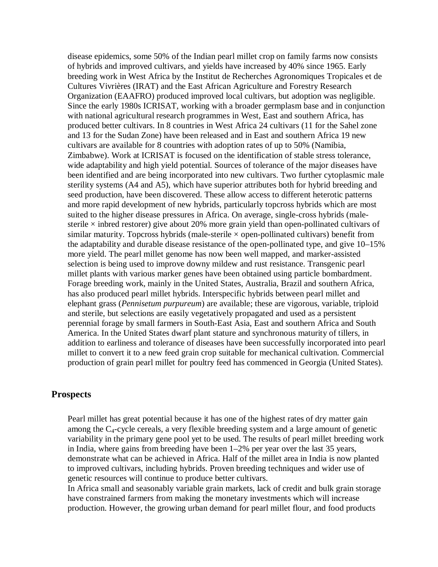disease epidemics, some 50% of the Indian pearl millet crop on family farms now consists of hybrids and improved cultivars, and yields have increased by 40% since 1965. Early breeding work in West Africa by the Institut de Recherches Agronomiques Tropicales et de Cultures Vivrières (IRAT) and the East African Agriculture and Forestry Research Organization (EAAFRO) produced improved local cultivars, but adoption was negligible. Since the early 1980s ICRISAT, working with a broader germplasm base and in conjunction with national agricultural research programmes in West, East and southern Africa, has produced better cultivars. In 8 countries in West Africa 24 cultivars (11 for the Sahel zone and 13 for the Sudan Zone) have been released and in East and southern Africa 19 new cultivars are available for 8 countries with adoption rates of up to 50% (Namibia, Zimbabwe). Work at ICRISAT is focused on the identification of stable stress tolerance, wide adaptability and high yield potential. Sources of tolerance of the major diseases have been identified and are being incorporated into new cultivars. Two further cytoplasmic male sterility systems (A4 and A5), which have superior attributes both for hybrid breeding and seed production, have been discovered. These allow access to different heterotic patterns and more rapid development of new hybrids, particularly topcross hybrids which are most suited to the higher disease pressures in Africa. On average, single-cross hybrids (malesterile  $\times$  inbred restorer) give about 20% more grain yield than open-pollinated cultivars of similar maturity. Topcross hybrids (male-sterile  $\times$  open-pollinated cultivars) benefit from the adaptability and durable disease resistance of the open-pollinated type, and give 10–15% more yield. The pearl millet genome has now been well mapped, and marker-assisted selection is being used to improve downy mildew and rust resistance. Transgenic pearl millet plants with various marker genes have been obtained using particle bombardment. Forage breeding work, mainly in the United States, Australia, Brazil and southern Africa, has also produced pearl millet hybrids. Interspecific hybrids between pearl millet and elephant grass (*Pennisetum purpureum*) are available; these are vigorous, variable, triploid and sterile, but selections are easily vegetatively propagated and used as a persistent perennial forage by small farmers in South-East Asia, East and southern Africa and South America. In the United States dwarf plant stature and synchronous maturity of tillers, in addition to earliness and tolerance of diseases have been successfully incorporated into pearl millet to convert it to a new feed grain crop suitable for mechanical cultivation. Commercial production of grain pearl millet for poultry feed has commenced in Georgia (United States).

# **Prospects**

Pearl millet has great potential because it has one of the highest rates of dry matter gain among the C4-cycle cereals, a very flexible breeding system and a large amount of genetic variability in the primary gene pool yet to be used. The results of pearl millet breeding work in India, where gains from breeding have been 1–2% per year over the last 35 years, demonstrate what can be achieved in Africa. Half of the millet area in India is now planted to improved cultivars, including hybrids. Proven breeding techniques and wider use of genetic resources will continue to produce better cultivars.

In Africa small and seasonably variable grain markets, lack of credit and bulk grain storage have constrained farmers from making the monetary investments which will increase production. However, the growing urban demand for pearl millet flour, and food products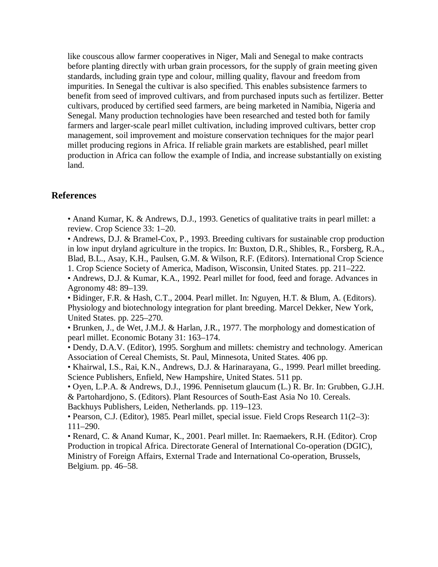like couscous allow farmer cooperatives in Niger, Mali and Senegal to make contracts before planting directly with urban grain processors, for the supply of grain meeting given standards, including grain type and colour, milling quality, flavour and freedom from impurities. In Senegal the cultivar is also specified. This enables subsistence farmers to benefit from seed of improved cultivars, and from purchased inputs such as fertilizer. Better cultivars, produced by certified seed farmers, are being marketed in Namibia, Nigeria and Senegal. Many production technologies have been researched and tested both for family farmers and larger-scale pearl millet cultivation, including improved cultivars, better crop management, soil improvement and moisture conservation techniques for the major pearl millet producing regions in Africa. If reliable grain markets are established, pearl millet production in Africa can follow the example of India, and increase substantially on existing land.

# **References**

• Anand Kumar, K. & Andrews, D.J., 1993. Genetics of qualitative traits in pearl millet: a review. Crop Science 33: 1–20.

• Andrews, D.J. & Bramel-Cox, P., 1993. Breeding cultivars for sustainable crop production in low input dryland agriculture in the tropics. In: Buxton, D.R., Shibles, R., Forsberg, R.A., Blad, B.L., Asay, K.H., Paulsen, G.M. & Wilson, R.F. (Editors). International Crop Science 1. Crop Science Society of America, Madison, Wisconsin, United States. pp. 211–222.

• Andrews, D.J. & Kumar, K.A., 1992. Pearl millet for food, feed and forage. Advances in Agronomy 48: 89–139.

• Bidinger, F.R. & Hash, C.T., 2004. Pearl millet. In: Nguyen, H.T. & Blum, A. (Editors). Physiology and biotechnology integration for plant breeding. Marcel Dekker, New York, United States. pp. 225–270.

• Brunken, J., de Wet, J.M.J. & Harlan, J.R., 1977. The morphology and domestication of pearl millet. Economic Botany 31: 163–174.

• Dendy, D.A.V. (Editor), 1995. Sorghum and millets: chemistry and technology. American Association of Cereal Chemists, St. Paul, Minnesota, United States. 406 pp.

• Khairwal, I.S., Rai, K.N., Andrews, D.J. & Harinarayana, G., 1999. Pearl millet breeding. Science Publishers, Enfield, New Hampshire, United States. 511 pp.

• Oyen, L.P.A. & Andrews, D.J., 1996. Pennisetum glaucum (L.) R. Br. In: Grubben, G.J.H. & Partohardjono, S. (Editors). Plant Resources of South-East Asia No 10. Cereals. Backhuys Publishers, Leiden, Netherlands. pp. 119–123.

• Pearson, C.J. (Editor), 1985. Pearl millet, special issue. Field Crops Research 11(2–3): 111–290.

• Renard, C. & Anand Kumar, K., 2001. Pearl millet. In: Raemaekers, R.H. (Editor). Crop Production in tropical Africa. Directorate General of International Co-operation (DGIC), Ministry of Foreign Affairs, External Trade and International Co-operation, Brussels, Belgium. pp. 46–58.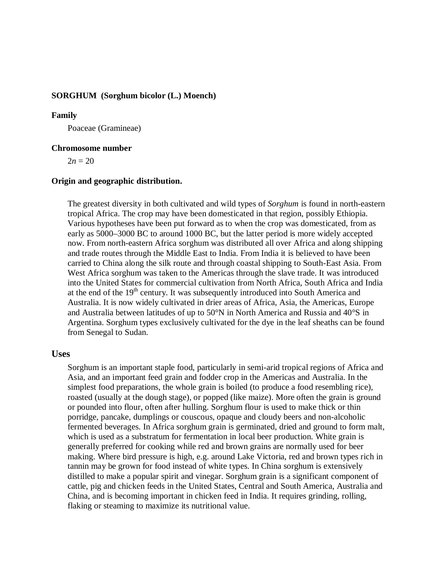### **SORGHUM (Sorghum bicolor (L.) Moench)**

#### **Family**

Poaceae (Gramineae)

#### **Chromosome number**

 $2n = 20$ 

#### **Origin and geographic distribution.**

The greatest diversity in both cultivated and wild types of *Sorghum* is found in north-eastern tropical Africa. The crop may have been domesticated in that region, possibly Ethiopia. Various hypotheses have been put forward as to when the crop was domesticated, from as early as 5000–3000 BC to around 1000 BC, but the latter period is more widely accepted now. From north-eastern Africa sorghum was distributed all over Africa and along shipping and trade routes through the Middle East to India. From India it is believed to have been carried to China along the silk route and through coastal shipping to South-East Asia. From West Africa sorghum was taken to the Americas through the slave trade. It was introduced into the United States for commercial cultivation from North Africa, South Africa and India at the end of the 19<sup>th</sup> century. It was subsequently introduced into South America and Australia. It is now widely cultivated in drier areas of Africa, Asia, the Americas, Europe and Australia between latitudes of up to 50°N in North America and Russia and 40°S in Argentina. Sorghum types exclusively cultivated for the dye in the leaf sheaths can be found from Senegal to Sudan.

#### **Uses**

Sorghum is an important staple food, particularly in semi-arid tropical regions of Africa and Asia, and an important feed grain and fodder crop in the Americas and Australia. In the simplest food preparations, the whole grain is boiled (to produce a food resembling rice), roasted (usually at the dough stage), or popped (like maize). More often the grain is ground or pounded into flour, often after hulling. Sorghum flour is used to make thick or thin porridge, pancake, dumplings or couscous, opaque and cloudy beers and non-alcoholic fermented beverages. In Africa sorghum grain is germinated, dried and ground to form malt, which is used as a substratum for fermentation in local beer production. White grain is generally preferred for cooking while red and brown grains are normally used for beer making. Where bird pressure is high, e.g. around Lake Victoria, red and brown types rich in tannin may be grown for food instead of white types. In China sorghum is extensively distilled to make a popular spirit and vinegar. Sorghum grain is a significant component of cattle, pig and chicken feeds in the United States, Central and South America, Australia and China, and is becoming important in chicken feed in India. It requires grinding, rolling, flaking or steaming to maximize its nutritional value.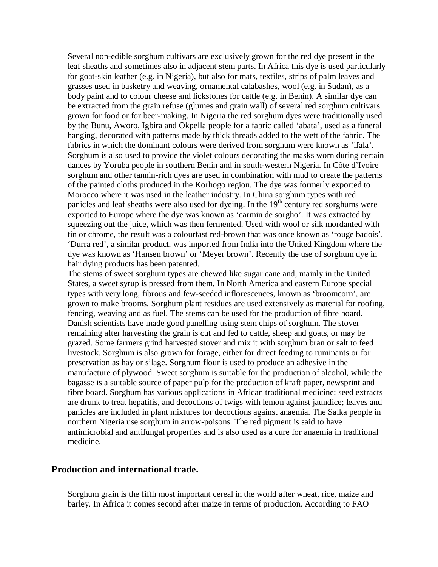Several non-edible sorghum cultivars are exclusively grown for the red dye present in the leaf sheaths and sometimes also in adjacent stem parts. In Africa this dye is used particularly for goat-skin leather (e.g. in Nigeria), but also for mats, textiles, strips of palm leaves and grasses used in basketry and weaving, ornamental calabashes, wool (e.g. in Sudan), as a body paint and to colour cheese and lickstones for cattle (e.g. in Benin). A similar dye can be extracted from the grain refuse (glumes and grain wall) of several red sorghum cultivars grown for food or for beer-making. In Nigeria the red sorghum dyes were traditionally used by the Bunu, Aworo, Igbira and Okpella people for a fabric called 'abata', used as a funeral hanging, decorated with patterns made by thick threads added to the weft of the fabric. The fabrics in which the dominant colours were derived from sorghum were known as 'ifala'. Sorghum is also used to provide the violet colours decorating the masks worn during certain dances by Yoruba people in southern Benin and in south-western Nigeria. In Côte d'Ivoire sorghum and other tannin-rich dyes are used in combination with mud to create the patterns of the painted cloths produced in the Korhogo region. The dye was formerly exported to Morocco where it was used in the leather industry. In China sorghum types with red panicles and leaf sheaths were also used for dyeing. In the  $19<sup>th</sup>$  century red sorghums were exported to Europe where the dye was known as 'carmin de sorgho'. It was extracted by squeezing out the juice, which was then fermented. Used with wool or silk mordanted with tin or chrome, the result was a colourfast red-brown that was once known as 'rouge badois'. 'Durra red', a similar product, was imported from India into the United Kingdom where the dye was known as 'Hansen brown' or 'Meyer brown'. Recently the use of sorghum dye in hair dying products has been patented.

The stems of sweet sorghum types are chewed like sugar cane and, mainly in the United States, a sweet syrup is pressed from them. In North America and eastern Europe special types with very long, fibrous and few-seeded inflorescences, known as 'broomcorn', are grown to make brooms. Sorghum plant residues are used extensively as material for roofing, fencing, weaving and as fuel. The stems can be used for the production of fibre board. Danish scientists have made good panelling using stem chips of sorghum. The stover remaining after harvesting the grain is cut and fed to cattle, sheep and goats, or may be grazed. Some farmers grind harvested stover and mix it with sorghum bran or salt to feed livestock. Sorghum is also grown for forage, either for direct feeding to ruminants or for preservation as hay or silage. Sorghum flour is used to produce an adhesive in the manufacture of plywood. Sweet sorghum is suitable for the production of alcohol, while the bagasse is a suitable source of paper pulp for the production of kraft paper, newsprint and fibre board. Sorghum has various applications in African traditional medicine: seed extracts are drunk to treat hepatitis, and decoctions of twigs with lemon against jaundice; leaves and panicles are included in plant mixtures for decoctions against anaemia. The Salka people in northern Nigeria use sorghum in arrow-poisons. The red pigment is said to have antimicrobial and antifungal properties and is also used as a cure for anaemia in traditional medicine.

### **Production and international trade.**

Sorghum grain is the fifth most important cereal in the world after wheat, rice, maize and barley. In Africa it comes second after maize in terms of production. According to FAO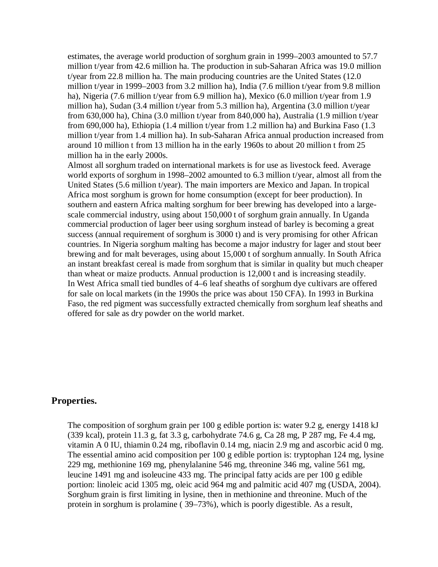estimates, the average world production of sorghum grain in 1999–2003 amounted to 57.7 million t/year from 42.6 million ha. The production in sub-Saharan Africa was 19.0 million t/year from 22.8 million ha. The main producing countries are the United States (12.0 million t/year in 1999–2003 from 3.2 million ha), India (7.6 million t/year from 9.8 million ha), Nigeria (7.6 million t/year from 6.9 million ha), Mexico (6.0 million t/year from 1.9 million ha), Sudan (3.4 million t/year from 5.3 million ha), Argentina (3.0 million t/year from 630,000 ha), China (3.0 million t/year from 840,000 ha), Australia (1.9 million t/year from 690,000 ha), Ethiopia (1.4 million t/year from 1.2 million ha) and Burkina Faso (1.3 million t/year from 1.4 million ha). In sub-Saharan Africa annual production increased from around 10 million t from 13 million ha in the early 1960s to about 20 million t from 25 million ha in the early 2000s.

Almost all sorghum traded on international markets is for use as livestock feed. Average world exports of sorghum in 1998–2002 amounted to 6.3 million t/year, almost all from the United States (5.6 million t/year). The main importers are Mexico and Japan. In tropical Africa most sorghum is grown for home consumption (except for beer production). In southern and eastern Africa malting sorghum for beer brewing has developed into a largescale commercial industry, using about 150,000 t of sorghum grain annually. In Uganda commercial production of lager beer using sorghum instead of barley is becoming a great success (annual requirement of sorghum is 3000 t) and is very promising for other African countries. In Nigeria sorghum malting has become a major industry for lager and stout beer brewing and for malt beverages, using about 15,000 t of sorghum annually. In South Africa an instant breakfast cereal is made from sorghum that is similar in quality but much cheaper than wheat or maize products. Annual production is 12,000 t and is increasing steadily. In West Africa small tied bundles of 4–6 leaf sheaths of sorghum dye cultivars are offered for sale on local markets (in the 1990s the price was about 150 CFA). In 1993 in Burkina Faso, the red pigment was successfully extracted chemically from sorghum leaf sheaths and offered for sale as dry powder on the world market.

# **Properties.**

The composition of sorghum grain per 100 g edible portion is: water 9.2 g, energy 1418 kJ (339 kcal), protein 11.3 g, fat 3.3 g, carbohydrate 74.6 g, Ca 28 mg, P 287 mg, Fe 4.4 mg, vitamin A 0 IU, thiamin 0.24 mg, riboflavin 0.14 mg, niacin 2.9 mg and ascorbic acid 0 mg. The essential amino acid composition per 100 g edible portion is: tryptophan 124 mg, lysine 229 mg, methionine 169 mg, phenylalanine 546 mg, threonine 346 mg, valine 561 mg, leucine 1491 mg and isoleucine 433 mg. The principal fatty acids are per 100 g edible portion: linoleic acid 1305 mg, oleic acid 964 mg and palmitic acid 407 mg (USDA, 2004). Sorghum grain is first limiting in lysine, then in methionine and threonine. Much of the protein in sorghum is prolamine ( 39–73%), which is poorly digestible. As a result,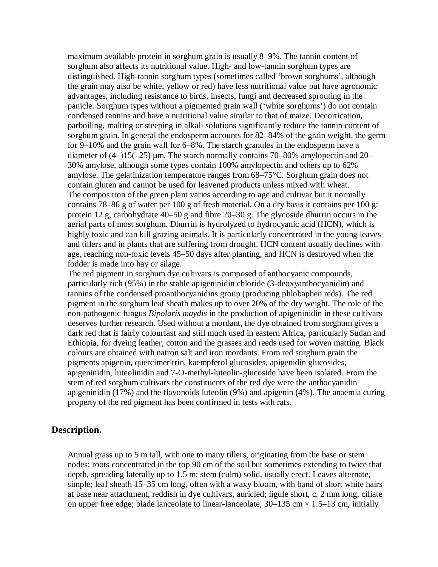maximum available protein in sorghum grain is usually 8–9%. The tannin content of sorghum also affects its nutritional value. High- and low-tannin sorghum types are distinguished. High-tannin sorghum types (sometimes called 'brown sorghums', although the grain may also be white, yellow or red) have less nutritional value but have agronomic advantages, including resistance to birds, insects, fungi and decreased sprouting in the panicle. Sorghum types without a pigmented grain wall ('white sorghums') do not contain condensed tannins and have a nutritional value similar to that of maize. Decortication, parboiling, malting or steeping in alkali solutions significantly reduce the tannin content of sorghum grain. In general the endosperm accounts for 82–84% of the grain weight, the germ for 9–10% and the grain wall for 6–8%. The starch granules in the endosperm have a diameter of  $(4-)15(-25)$  µm. The starch normally contains 70–80% amylopectin and 20– 30% amylose, although some types contain 100% amylopectin and others up to 62% amylose. The gelatinization temperature ranges from 68–75°C. Sorghum grain does not contain gluten and cannot be used for leavened products unless mixed with wheat. The composition of the green plant varies according to age and cultivar but it normally contains 78–86 g of water per 100 g of fresh material. On a dry basis it contains per 100 g: protein 12 g, carbohydrate 40–50 g and fibre 20–30 g. The glycoside dhurrin occurs in the aerial parts of most sorghum. Dhurrin is hydrolyzed to hydrocyanic acid (HCN), which is highly toxic and can kill grazing animals. It is particularly concentrated in the young leaves and tillers and in plants that are suffering from drought. HCN content usually declines with age, reaching non-toxic levels 45–50 days after planting, and HCN is destroyed when the fodder is made into hay or silage.

The red pigment in sorghum dye cultivars is composed of anthocyanic compounds, particularly rich (95%) in the stable apigeninidin chloride (3-deoxyanthocyanidin) and tannins of the condensed proanthocyanidins group (producing phlobaphen reds). The red pigment in the sorghum leaf sheath makes up to over 20% of the dry weight. The role of the non-pathogenic fungus *Bipolaris maydis* in the production of apigeninidin in these cultivars deserves further research. Used without a mordant, the dye obtained from sorghum gives a dark red that is fairly colourfast and still much used in eastern Africa, particularly Sudan and Ethiopia, for dyeing leather, cotton and the grasses and reeds used for woven matting. Black colours are obtained with natron salt and iron mordants. From red sorghum grain the pigments apigenin, quercimeritrin, kaempferol glucosides, apigenidin glucosides, apigeninidin, luteolinidin and 7-O-methyl-luteolin-glucoside have been isolated. From the stem of red sorghum cultivars the constituents of the red dye were the anthocyanidin apigeninidin (17%) and the flavonoids luteolin (9%) and apigenin (4%). The anaemia curing property of the red pigment has been confirmed in tests with rats.

# **Description.**

Annual grass up to 5 m tall, with one to many tillers, originating from the base or stem nodes; roots concentrated in the top 90 cm of the soil but sometimes extending to twice that depth, spreading laterally up to 1.5 m; stem (culm) solid, usually erect. Leaves alternate, simple; leaf sheath 15–35 cm long, often with a waxy bloom, with band of short white hairs at base near attachment, reddish in dye cultivars, auricled; ligule short, c. 2 mm long, ciliate on upper free edge; blade lanceolate to linear-lanceolate,  $30-135$  cm  $\times$  1.5–13 cm, initially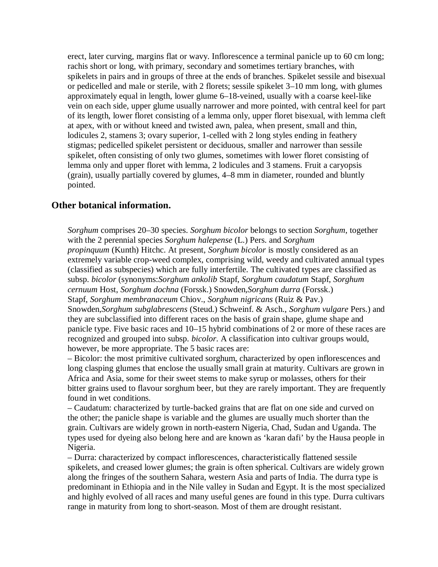erect, later curving, margins flat or wavy. Inflorescence a terminal panicle up to 60 cm long; rachis short or long, with primary, secondary and sometimes tertiary branches, with spikelets in pairs and in groups of three at the ends of branches. Spikelet sessile and bisexual or pedicelled and male or sterile, with 2 florets; sessile spikelet 3–10 mm long, with glumes approximately equal in length, lower glume 6–18-veined, usually with a coarse keel-like vein on each side, upper glume usually narrower and more pointed, with central keel for part of its length, lower floret consisting of a lemma only, upper floret bisexual, with lemma cleft at apex, with or without kneed and twisted awn, palea, when present, small and thin, lodicules 2, stamens 3; ovary superior, 1-celled with 2 long styles ending in feathery stigmas; pedicelled spikelet persistent or deciduous, smaller and narrower than sessile spikelet, often consisting of only two glumes, sometimes with lower floret consisting of lemma only and upper floret with lemma, 2 lodicules and 3 stamens. Fruit a caryopsis (grain), usually partially covered by glumes, 4–8 mm in diameter, rounded and bluntly pointed.

# **Other botanical information.**

*Sorghum* comprises 20–30 species. *Sorghum bicolor* belongs to section *Sorghum*, together with the 2 perennial species *Sorghum halepense* (L.) Pers. and *Sorghum propinquum* (Kunth) Hitchc. At present, *Sorghum bicolor* is mostly considered as an extremely variable crop-weed complex, comprising wild, weedy and cultivated annual types (classified as subspecies) which are fully interfertile. The cultivated types are classified as subsp. *bicolor* (synonyms:*Sorghum ankolib* Stapf, *Sorghum caudatum* Stapf, *Sorghum cernuum* Host, *Sorghum dochna* (Forssk.) Snowden,*Sorghum durra* (Forssk.) Stapf, *Sorghum membranaceum* Chiov., *Sorghum nigricans* (Ruiz & Pav.) Snowden,*Sorghum subglabrescens* (Steud.) Schweinf. & Asch., *Sorghum vulgare* Pers.) and they are subclassified into different races on the basis of grain shape, glume shape and panicle type. Five basic races and 10–15 hybrid combinations of 2 or more of these races are recognized and grouped into subsp. *bicolor*. A classification into cultivar groups would, however, be more appropriate. The 5 basic races are:

– Bicolor: the most primitive cultivated sorghum, characterized by open inflorescences and long clasping glumes that enclose the usually small grain at maturity. Cultivars are grown in Africa and Asia, some for their sweet stems to make syrup or molasses, others for their bitter grains used to flavour sorghum beer, but they are rarely important. They are frequently found in wet conditions.

– Caudatum: characterized by turtle-backed grains that are flat on one side and curved on the other; the panicle shape is variable and the glumes are usually much shorter than the grain. Cultivars are widely grown in north-eastern Nigeria, Chad, Sudan and Uganda. The types used for dyeing also belong here and are known as 'karan dafi' by the Hausa people in Nigeria.

– Durra: characterized by compact inflorescences, characteristically flattened sessile spikelets, and creased lower glumes; the grain is often spherical. Cultivars are widely grown along the fringes of the southern Sahara, western Asia and parts of India. The durra type is predominant in Ethiopia and in the Nile valley in Sudan and Egypt. It is the most specialized and highly evolved of all races and many useful genes are found in this type. Durra cultivars range in maturity from long to short-season. Most of them are drought resistant.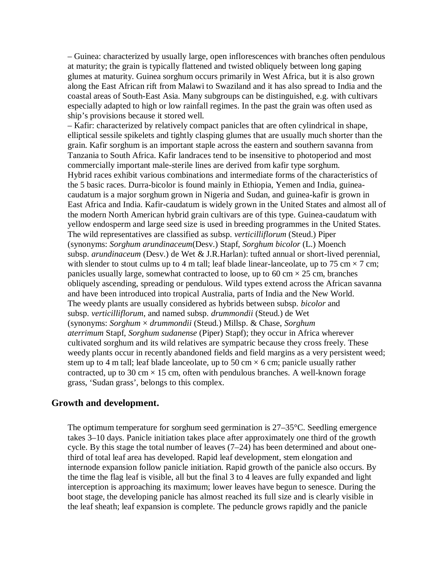– Guinea: characterized by usually large, open inflorescences with branches often pendulous at maturity; the grain is typically flattened and twisted obliquely between long gaping glumes at maturity. Guinea sorghum occurs primarily in West Africa, but it is also grown along the East African rift from Malawi to Swaziland and it has also spread to India and the coastal areas of South-East Asia. Many subgroups can be distinguished, e.g. with cultivars especially adapted to high or low rainfall regimes. In the past the grain was often used as ship's provisions because it stored well.

– Kafir: characterized by relatively compact panicles that are often cylindrical in shape, elliptical sessile spikelets and tightly clasping glumes that are usually much shorter than the grain. Kafir sorghum is an important staple across the eastern and southern savanna from Tanzania to South Africa. Kafir landraces tend to be insensitive to photoperiod and most commercially important male-sterile lines are derived from kafir type sorghum. Hybrid races exhibit various combinations and intermediate forms of the characteristics of the 5 basic races. Durra-bicolor is found mainly in Ethiopia, Yemen and India, guineacaudatum is a major sorghum grown in Nigeria and Sudan, and guinea-kafir is grown in East Africa and India. Kafir-caudatum is widely grown in the United States and almost all of the modern North American hybrid grain cultivars are of this type. Guinea-caudatum with yellow endosperm and large seed size is used in breeding programmes in the United States. The wild representatives are classified as subsp. *verticilliflorum* (Steud.) Piper (synonyms: *Sorghum arundinaceum*(Desv.) Stapf, *Sorghum bicolor* (L.) Moench subsp. *arundinaceum* (Desv.) de Wet & J.R.Harlan): tufted annual or short-lived perennial, with slender to stout culms up to 4 m tall; leaf blade linear-lanceolate, up to 75 cm  $\times$  7 cm; panicles usually large, somewhat contracted to loose, up to 60 cm  $\times$  25 cm, branches obliquely ascending, spreading or pendulous. Wild types extend across the African savanna and have been introduced into tropical Australia, parts of India and the New World. The weedy plants are usually considered as hybrids between subsp. *bicolor* and subsp. *verticilliflorum*, and named subsp. *drummondii* (Steud.) de Wet (synonyms: *Sorghum* × *drummondii* (Steud.) Millsp. & Chase, *Sorghum aterrimum* Stapf, *Sorghum sudanense* (Piper) Stapf); they occur in Africa wherever cultivated sorghum and its wild relatives are sympatric because they cross freely. These weedy plants occur in recently abandoned fields and field margins as a very persistent weed; stem up to 4 m tall; leaf blade lanceolate, up to 50 cm  $\times$  6 cm; panicle usually rather contracted, up to 30 cm  $\times$  15 cm, often with pendulous branches. A well-known forage grass, 'Sudan grass', belongs to this complex.

# **Growth and development.**

The optimum temperature for sorghum seed germination is 27–35°C. Seedling emergence takes 3–10 days. Panicle initiation takes place after approximately one third of the growth cycle. By this stage the total number of leaves (7–24) has been determined and about onethird of total leaf area has developed. Rapid leaf development, stem elongation and internode expansion follow panicle initiation. Rapid growth of the panicle also occurs. By the time the flag leaf is visible, all but the final 3 to 4 leaves are fully expanded and light interception is approaching its maximum; lower leaves have begun to senesce. During the boot stage, the developing panicle has almost reached its full size and is clearly visible in the leaf sheath; leaf expansion is complete. The peduncle grows rapidly and the panicle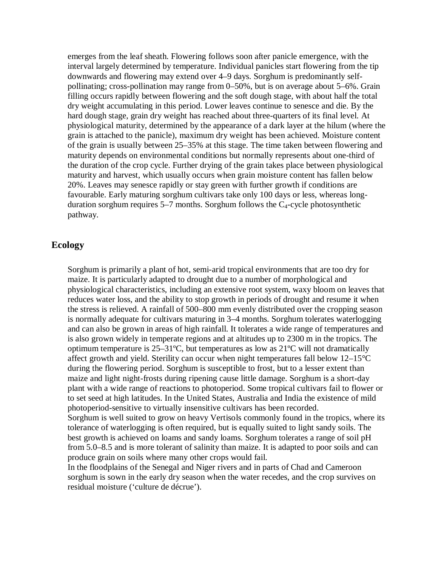emerges from the leaf sheath. Flowering follows soon after panicle emergence, with the interval largely determined by temperature. Individual panicles start flowering from the tip downwards and flowering may extend over 4–9 days. Sorghum is predominantly selfpollinating; cross-pollination may range from 0–50%, but is on average about 5–6%. Grain filling occurs rapidly between flowering and the soft dough stage, with about half the total dry weight accumulating in this period. Lower leaves continue to senesce and die. By the hard dough stage, grain dry weight has reached about three-quarters of its final level. At physiological maturity, determined by the appearance of a dark layer at the hilum (where the grain is attached to the panicle), maximum dry weight has been achieved. Moisture content of the grain is usually between 25–35% at this stage. The time taken between flowering and maturity depends on environmental conditions but normally represents about one-third of the duration of the crop cycle. Further drying of the grain takes place between physiological maturity and harvest, which usually occurs when grain moisture content has fallen below 20%. Leaves may senesce rapidly or stay green with further growth if conditions are favourable. Early maturing sorghum cultivars take only 100 days or less, whereas longduration sorghum requires  $5-7$  months. Sorghum follows the  $C_4$ -cycle photosynthetic pathway.

# **Ecology**

Sorghum is primarily a plant of hot, semi-arid tropical environments that are too dry for maize. It is particularly adapted to drought due to a number of morphological and physiological characteristics, including an extensive root system, waxy bloom on leaves that reduces water loss, and the ability to stop growth in periods of drought and resume it when the stress is relieved. A rainfall of 500–800 mm evenly distributed over the cropping season is normally adequate for cultivars maturing in 3–4 months. Sorghum tolerates waterlogging and can also be grown in areas of high rainfall. It tolerates a wide range of temperatures and is also grown widely in temperate regions and at altitudes up to 2300 m in the tropics. The optimum temperature is 25–31ºC, but temperatures as low as 21ºC will not dramatically affect growth and yield. Sterility can occur when night temperatures fall below 12–15°C during the flowering period. Sorghum is susceptible to frost, but to a lesser extent than maize and light night-frosts during ripening cause little damage. Sorghum is a short-day plant with a wide range of reactions to photoperiod. Some tropical cultivars fail to flower or to set seed at high latitudes. In the United States, Australia and India the existence of mild photoperiod-sensitive to virtually insensitive cultivars has been recorded.

Sorghum is well suited to grow on heavy Vertisols commonly found in the tropics, where its tolerance of waterlogging is often required, but is equally suited to light sandy soils. The best growth is achieved on loams and sandy loams. Sorghum tolerates a range of soil pH from 5.0–8.5 and is more tolerant of salinity than maize. It is adapted to poor soils and can produce grain on soils where many other crops would fail.

In the floodplains of the Senegal and Niger rivers and in parts of Chad and Cameroon sorghum is sown in the early dry season when the water recedes, and the crop survives on residual moisture ('culture de décrue').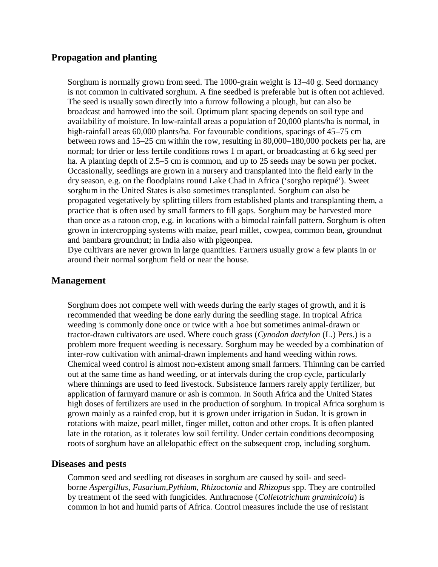# **Propagation and planting**

Sorghum is normally grown from seed. The 1000-grain weight is 13–40 g. Seed dormancy is not common in cultivated sorghum. A fine seedbed is preferable but is often not achieved. The seed is usually sown directly into a furrow following a plough, but can also be broadcast and harrowed into the soil. Optimum plant spacing depends on soil type and availability of moisture. In low-rainfall areas a population of 20,000 plants/ha is normal, in high-rainfall areas 60,000 plants/ha. For favourable conditions, spacings of 45–75 cm between rows and 15–25 cm within the row, resulting in 80,000–180,000 pockets per ha, are normal; for drier or less fertile conditions rows 1 m apart, or broadcasting at 6 kg seed per ha. A planting depth of 2.5–5 cm is common, and up to 25 seeds may be sown per pocket. Occasionally, seedlings are grown in a nursery and transplanted into the field early in the dry season, e.g. on the floodplains round Lake Chad in Africa ('sorgho repiqué'). Sweet sorghum in the United States is also sometimes transplanted. Sorghum can also be propagated vegetatively by splitting tillers from established plants and transplanting them, a practice that is often used by small farmers to fill gaps. Sorghum may be harvested more than once as a ratoon crop, e.g. in locations with a bimodal rainfall pattern. Sorghum is often grown in intercropping systems with maize, pearl millet, cowpea, common bean, groundnut and bambara groundnut; in India also with pigeonpea.

Dye cultivars are never grown in large quantities. Farmers usually grow a few plants in or around their normal sorghum field or near the house.

# **Management**

Sorghum does not compete well with weeds during the early stages of growth, and it is recommended that weeding be done early during the seedling stage. In tropical Africa weeding is commonly done once or twice with a hoe but sometimes animal-drawn or tractor-drawn cultivators are used. Where couch grass (*Cynodon dactylon* (L.) Pers.) is a problem more frequent weeding is necessary. Sorghum may be weeded by a combination of inter-row cultivation with animal-drawn implements and hand weeding within rows. Chemical weed control is almost non-existent among small farmers. Thinning can be carried out at the same time as hand weeding, or at intervals during the crop cycle, particularly where thinnings are used to feed livestock. Subsistence farmers rarely apply fertilizer, but application of farmyard manure or ash is common. In South Africa and the United States high doses of fertilizers are used in the production of sorghum. In tropical Africa sorghum is grown mainly as a rainfed crop, but it is grown under irrigation in Sudan. It is grown in rotations with maize, pearl millet, finger millet, cotton and other crops. It is often planted late in the rotation, as it tolerates low soil fertility. Under certain conditions decomposing roots of sorghum have an allelopathic effect on the subsequent crop, including sorghum.

# **Diseases and pests**

Common seed and seedling rot diseases in sorghum are caused by soil- and seedborne *Aspergillus*, *Fusarium*,*Pythium*, *Rhizoctonia* and *Rhizopus* spp. They are controlled by treatment of the seed with fungicides. Anthracnose (*Colletotrichum graminicola*) is common in hot and humid parts of Africa. Control measures include the use of resistant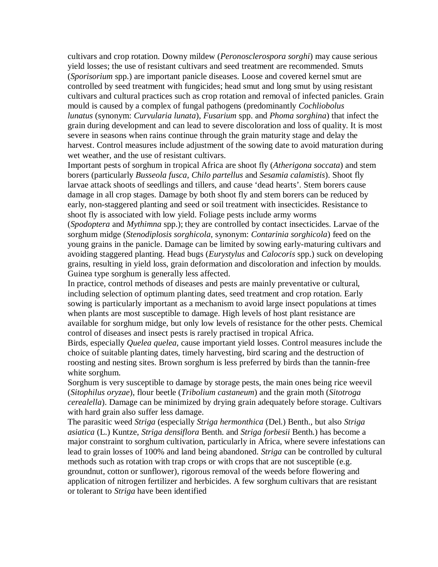cultivars and crop rotation. Downy mildew (*Peronosclerospora sorghi*) may cause serious yield losses; the use of resistant cultivars and seed treatment are recommended. Smuts (*Sporisorium* spp.) are important panicle diseases. Loose and covered kernel smut are controlled by seed treatment with fungicides; head smut and long smut by using resistant cultivars and cultural practices such as crop rotation and removal of infected panicles. Grain mould is caused by a complex of fungal pathogens (predominantly *Cochliobolus lunatus* (synonym: *Curvularia lunata*), *Fusarium* spp. and *Phoma sorghina*) that infect the grain during development and can lead to severe discoloration and loss of quality. It is most severe in seasons when rains continue through the grain maturity stage and delay the harvest. Control measures include adjustment of the sowing date to avoid maturation during wet weather, and the use of resistant cultivars.

Important pests of sorghum in tropical Africa are shoot fly (*Atherigona soccata*) and stem borers (particularly *Busseola fusca*, *Chilo partellus* and *Sesamia calamistis*). Shoot fly larvae attack shoots of seedlings and tillers, and cause 'dead hearts'. Stem borers cause damage in all crop stages. Damage by both shoot fly and stem borers can be reduced by early, non-staggered planting and seed or soil treatment with insecticides. Resistance to shoot fly is associated with low yield. Foliage pests include army worms

(*Spodoptera* and *Mythimna* spp.); they are controlled by contact insecticides. Larvae of the sorghum midge (*Stenodiplosis sorghicola*, synonym: *Contarinia sorghicola*) feed on the young grains in the panicle. Damage can be limited by sowing early-maturing cultivars and avoiding staggered planting. Head bugs (*Eurystylus* and *Calocoris* spp.) suck on developing grains, resulting in yield loss, grain deformation and discoloration and infection by moulds. Guinea type sorghum is generally less affected.

In practice, control methods of diseases and pests are mainly preventative or cultural, including selection of optimum planting dates, seed treatment and crop rotation. Early sowing is particularly important as a mechanism to avoid large insect populations at times when plants are most susceptible to damage. High levels of host plant resistance are available for sorghum midge, but only low levels of resistance for the other pests. Chemical control of diseases and insect pests is rarely practised in tropical Africa.

Birds, especially *Quelea quelea*, cause important yield losses. Control measures include the choice of suitable planting dates, timely harvesting, bird scaring and the destruction of roosting and nesting sites. Brown sorghum is less preferred by birds than the tannin-free white sorghum.

Sorghum is very susceptible to damage by storage pests, the main ones being rice weevil (*Sitophilus oryzae*), flour beetle (*Tribolium castaneum*) and the grain moth (*Sitotroga cerealella*). Damage can be minimized by drying grain adequately before storage. Cultivars with hard grain also suffer less damage.

The parasitic weed *Striga* (especially *Striga hermonthica* (Del.) Benth., but also *Striga asiatica* (L.) Kuntze, *Striga densiflora* Benth. and *Striga forbesii* Benth.) has become a major constraint to sorghum cultivation, particularly in Africa, where severe infestations can lead to grain losses of 100% and land being abandoned. *Striga* can be controlled by cultural methods such as rotation with trap crops or with crops that are not susceptible (e.g. groundnut, cotton or sunflower), rigorous removal of the weeds before flowering and application of nitrogen fertilizer and herbicides. A few sorghum cultivars that are resistant or tolerant to *Striga* have been identified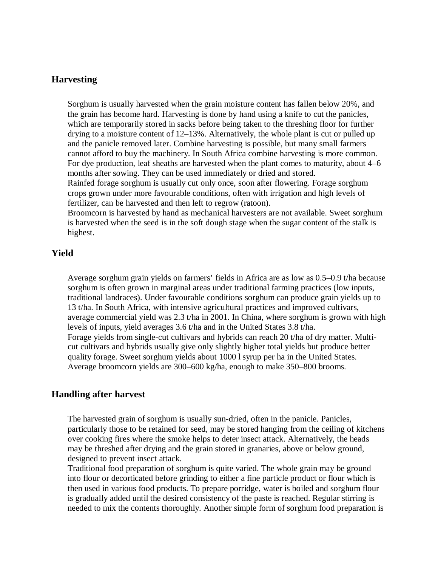# **Harvesting**

Sorghum is usually harvested when the grain moisture content has fallen below 20%, and the grain has become hard. Harvesting is done by hand using a knife to cut the panicles, which are temporarily stored in sacks before being taken to the threshing floor for further drying to a moisture content of 12–13%. Alternatively, the whole plant is cut or pulled up and the panicle removed later. Combine harvesting is possible, but many small farmers cannot afford to buy the machinery. In South Africa combine harvesting is more common. For dye production, leaf sheaths are harvested when the plant comes to maturity, about 4–6 months after sowing. They can be used immediately or dried and stored.

Rainfed forage sorghum is usually cut only once, soon after flowering. Forage sorghum crops grown under more favourable conditions, often with irrigation and high levels of fertilizer, can be harvested and then left to regrow (ratoon).

Broomcorn is harvested by hand as mechanical harvesters are not available. Sweet sorghum is harvested when the seed is in the soft dough stage when the sugar content of the stalk is highest.

# **Yield**

Average sorghum grain yields on farmers' fields in Africa are as low as 0.5–0.9 t/ha because sorghum is often grown in marginal areas under traditional farming practices (low inputs, traditional landraces). Under favourable conditions sorghum can produce grain yields up to 13 t/ha. In South Africa, with intensive agricultural practices and improved cultivars, average commercial yield was 2.3 t/ha in 2001. In China, where sorghum is grown with high levels of inputs, yield averages 3.6 t/ha and in the United States 3.8 t/ha. Forage yields from single-cut cultivars and hybrids can reach 20 t/ha of dry matter. Multicut cultivars and hybrids usually give only slightly higher total yields but produce better quality forage. Sweet sorghum yields about 1000 l syrup per ha in the United States. Average broomcorn yields are 300–600 kg/ha, enough to make 350–800 brooms.

# **Handling after harvest**

The harvested grain of sorghum is usually sun-dried, often in the panicle. Panicles, particularly those to be retained for seed, may be stored hanging from the ceiling of kitchens over cooking fires where the smoke helps to deter insect attack. Alternatively, the heads may be threshed after drying and the grain stored in granaries, above or below ground, designed to prevent insect attack.

Traditional food preparation of sorghum is quite varied. The whole grain may be ground into flour or decorticated before grinding to either a fine particle product or flour which is then used in various food products. To prepare porridge, water is boiled and sorghum flour is gradually added until the desired consistency of the paste is reached. Regular stirring is needed to mix the contents thoroughly. Another simple form of sorghum food preparation is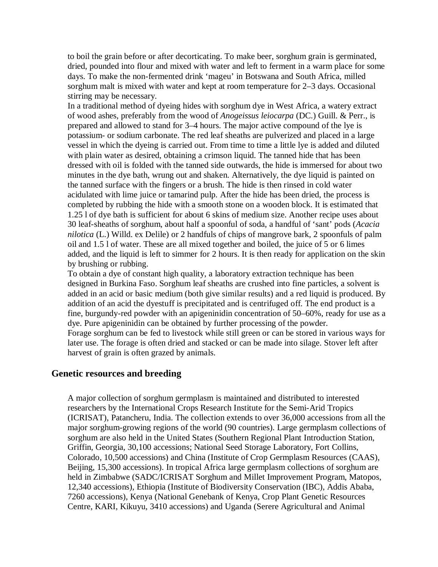to boil the grain before or after decorticating. To make beer, sorghum grain is germinated, dried, pounded into flour and mixed with water and left to ferment in a warm place for some days. To make the non-fermented drink 'mageu' in Botswana and South Africa, milled sorghum malt is mixed with water and kept at room temperature for 2–3 days. Occasional stirring may be necessary.

In a traditional method of dyeing hides with sorghum dye in West Africa, a watery extract of wood ashes, preferably from the wood of *Anogeissus leiocarpa* (DC.) Guill. & Perr., is prepared and allowed to stand for 3–4 hours. The major active compound of the lye is potassium- or sodium carbonate. The red leaf sheaths are pulverized and placed in a large vessel in which the dyeing is carried out. From time to time a little lye is added and diluted with plain water as desired, obtaining a crimson liquid. The tanned hide that has been dressed with oil is folded with the tanned side outwards, the hide is immersed for about two minutes in the dye bath, wrung out and shaken. Alternatively, the dye liquid is painted on the tanned surface with the fingers or a brush. The hide is then rinsed in cold water acidulated with lime juice or tamarind pulp. After the hide has been dried, the process is completed by rubbing the hide with a smooth stone on a wooden block. It is estimated that 1.25 l of dye bath is sufficient for about 6 skins of medium size. Another recipe uses about 30 leaf-sheaths of sorghum, about half a spoonful of soda, a handful of 'sant' pods (*Acacia nilotica* (L.) Willd. ex Delile) or 2 handfuls of chips of mangrove bark, 2 spoonfuls of palm oil and 1.5 l of water. These are all mixed together and boiled, the juice of 5 or 6 limes added, and the liquid is left to simmer for 2 hours. It is then ready for application on the skin by brushing or rubbing.

To obtain a dye of constant high quality, a laboratory extraction technique has been designed in Burkina Faso. Sorghum leaf sheaths are crushed into fine particles, a solvent is added in an acid or basic medium (both give similar results) and a red liquid is produced. By addition of an acid the dyestuff is precipitated and is centrifuged off. The end product is a fine, burgundy-red powder with an apigeninidin concentration of 50–60%, ready for use as a dye. Pure apigeninidin can be obtained by further processing of the powder. Forage sorghum can be fed to livestock while still green or can be stored in various ways for later use. The forage is often dried and stacked or can be made into silage. Stover left after harvest of grain is often grazed by animals.

# **Genetic resources and breeding**

A major collection of sorghum germplasm is maintained and distributed to interested researchers by the International Crops Research Institute for the Semi-Arid Tropics (ICRISAT), Patancheru, India. The collection extends to over 36,000 accessions from all the major sorghum-growing regions of the world (90 countries). Large germplasm collections of sorghum are also held in the United States (Southern Regional Plant Introduction Station, Griffin, Georgia, 30,100 accessions; National Seed Storage Laboratory, Fort Collins, Colorado, 10,500 accessions) and China (Institute of Crop Germplasm Resources (CAAS), Beijing, 15,300 accessions). In tropical Africa large germplasm collections of sorghum are held in Zimbabwe (SADC/ICRISAT Sorghum and Millet Improvement Program, Matopos, 12,340 accessions), Ethiopia (Institute of Biodiversity Conservation (IBC), Addis Ababa, 7260 accessions), Kenya (National Genebank of Kenya, Crop Plant Genetic Resources Centre, KARI, Kikuyu, 3410 accessions) and Uganda (Serere Agricultural and Animal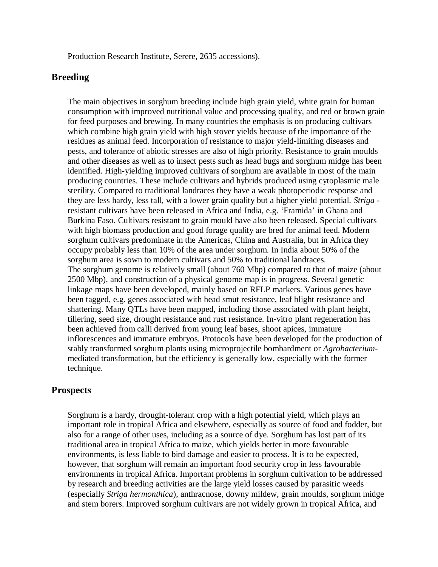Production Research Institute, Serere, 2635 accessions).

# **Breeding**

The main objectives in sorghum breeding include high grain yield, white grain for human consumption with improved nutritional value and processing quality, and red or brown grain for feed purposes and brewing. In many countries the emphasis is on producing cultivars which combine high grain yield with high stover yields because of the importance of the residues as animal feed. Incorporation of resistance to major yield-limiting diseases and pests, and tolerance of abiotic stresses are also of high priority. Resistance to grain moulds and other diseases as well as to insect pests such as head bugs and sorghum midge has been identified. High-yielding improved cultivars of sorghum are available in most of the main producing countries. These include cultivars and hybrids produced using cytoplasmic male sterility. Compared to traditional landraces they have a weak photoperiodic response and they are less hardy, less tall, with a lower grain quality but a higher yield potential. *Striga* resistant cultivars have been released in Africa and India, e.g. 'Framida' in Ghana and Burkina Faso. Cultivars resistant to grain mould have also been released. Special cultivars with high biomass production and good forage quality are bred for animal feed. Modern sorghum cultivars predominate in the Americas, China and Australia, but in Africa they occupy probably less than 10% of the area under sorghum. In India about 50% of the sorghum area is sown to modern cultivars and 50% to traditional landraces. The sorghum genome is relatively small (about 760 Mbp) compared to that of maize (about 2500 Mbp), and construction of a physical genome map is in progress. Several genetic linkage maps have been developed, mainly based on RFLP markers. Various genes have been tagged, e.g. genes associated with head smut resistance, leaf blight resistance and shattering. Many QTLs have been mapped, including those associated with plant height, tillering, seed size, drought resistance and rust resistance. In-vitro plant regeneration has been achieved from calli derived from young leaf bases, shoot apices, immature inflorescences and immature embryos. Protocols have been developed for the production of stably transformed sorghum plants using microprojectile bombardment or *Agrobacterium*mediated transformation, but the efficiency is generally low, especially with the former technique.

# **Prospects**

Sorghum is a hardy, drought-tolerant crop with a high potential yield, which plays an important role in tropical Africa and elsewhere, especially as source of food and fodder, but also for a range of other uses, including as a source of dye. Sorghum has lost part of its traditional area in tropical Africa to maize, which yields better in more favourable environments, is less liable to bird damage and easier to process. It is to be expected, however, that sorghum will remain an important food security crop in less favourable environments in tropical Africa. Important problems in sorghum cultivation to be addressed by research and breeding activities are the large yield losses caused by parasitic weeds (especially *Striga hermonthica*), anthracnose, downy mildew, grain moulds, sorghum midge and stem borers. Improved sorghum cultivars are not widely grown in tropical Africa, and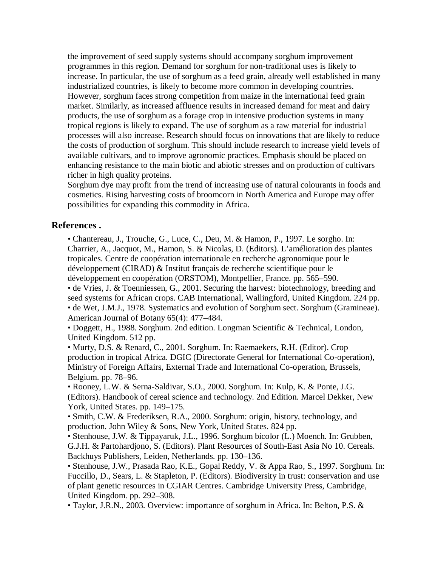the improvement of seed supply systems should accompany sorghum improvement programmes in this region. Demand for sorghum for non-traditional uses is likely to increase. In particular, the use of sorghum as a feed grain, already well established in many industrialized countries, is likely to become more common in developing countries. However, sorghum faces strong competition from maize in the international feed grain market. Similarly, as increased affluence results in increased demand for meat and dairy products, the use of sorghum as a forage crop in intensive production systems in many tropical regions is likely to expand. The use of sorghum as a raw material for industrial processes will also increase. Research should focus on innovations that are likely to reduce the costs of production of sorghum. This should include research to increase yield levels of available cultivars, and to improve agronomic practices. Emphasis should be placed on enhancing resistance to the main biotic and abiotic stresses and on production of cultivars richer in high quality proteins.

Sorghum dye may profit from the trend of increasing use of natural colourants in foods and cosmetics. Rising harvesting costs of broomcorn in North America and Europe may offer possibilities for expanding this commodity in Africa.

# **References .**

• Chantereau, J., Trouche, G., Luce, C., Deu, M. & Hamon, P., 1997. Le sorgho. In: Charrier, A., Jacquot, M., Hamon, S. & Nicolas, D. (Editors). L'amélioration des plantes tropicales. Centre de coopération internationale en recherche agronomique pour le développement (CIRAD) & Institut français de recherche scientifique pour le développement en coopération (ORSTOM), Montpellier, France. pp. 565–590.

• de Vries, J. & Toenniessen, G., 2001. Securing the harvest: biotechnology, breeding and seed systems for African crops. CAB International, Wallingford, United Kingdom. 224 pp. • de Wet, J.M.J., 1978. Systematics and evolution of Sorghum sect. Sorghum (Gramineae). American Journal of Botany 65(4): 477–484.

• Doggett, H., 1988. Sorghum. 2nd edition. Longman Scientific & Technical, London, United Kingdom. 512 pp.

• Murty, D.S. & Renard, C., 2001. Sorghum. In: Raemaekers, R.H. (Editor). Crop production in tropical Africa. DGIC (Directorate General for International Co-operation), Ministry of Foreign Affairs, External Trade and International Co-operation, Brussels, Belgium. pp. 78–96.

• Rooney, L.W. & Serna-Saldivar, S.O., 2000. Sorghum. In: Kulp, K. & Ponte, J.G. (Editors). Handbook of cereal science and technology. 2nd Edition. Marcel Dekker, New York, United States. pp. 149–175.

• Smith, C.W. & Frederiksen, R.A., 2000. Sorghum: origin, history, technology, and production. John Wiley & Sons, New York, United States. 824 pp.

• Stenhouse, J.W. & Tippayaruk, J.L., 1996. Sorghum bicolor (L.) Moench. In: Grubben, G.J.H. & Partohardjono, S. (Editors). Plant Resources of South-East Asia No 10. Cereals. Backhuys Publishers, Leiden, Netherlands. pp. 130–136.

• Stenhouse, J.W., Prasada Rao, K.E., Gopal Reddy, V. & Appa Rao, S., 1997. Sorghum. In: Fuccillo, D., Sears, L. & Stapleton, P. (Editors). Biodiversity in trust: conservation and use of plant genetic resources in CGIAR Centres. Cambridge University Press, Cambridge, United Kingdom. pp. 292–308.

• Taylor, J.R.N., 2003. Overview: importance of sorghum in Africa. In: Belton, P.S. &